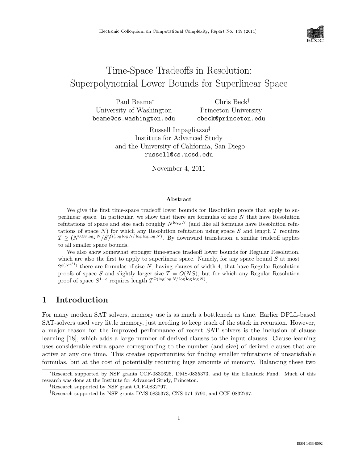

# Time-Space Tradeoffs in Resolution: Superpolynomial Lower Bounds for Superlinear Space

Paul Beame<sup>∗</sup> University of Washington beame@cs.washington.edu Chris Beck† Princeton University cbeck@princeton.edu

> Russell Impagliazzo‡ Institute for Advanced Study and the University of California, San Diego russell@cs.ucsd.edu

> > November 4, 2011

#### Abstract

We give the first time-space tradeoff lower bounds for Resolution proofs that apply to superlinear space. In particular, we show that there are formulas of size  $N$  that have Resolution refutations of space and size each roughly  $N^{\log_2 N}$  (and like all formulas have Resolution refutations of space  $N$ ) for which any Resolution refutation using space  $S$  and length  $T$  requires  $T \geq (N^{0.58 \log_2 N}/S)^{\Omega(\log \log N/\log \log \log N)}$ . By downward translation, a similar tradeoff applies to all smaller space bounds.

We also show somewhat stronger time-space tradeoff lower bounds for Regular Resolution, which are also the first to apply to superlinear space. Namely, for any space bound  $S$  at most  $2^{o(N^{1/4})}$  there are formulas of size N, having clauses of width 4, that have Regular Resolution proofs of space S and slightly larger size  $T = O(NS)$ , but for which any Regular Resolution proof of space  $S^{1-\epsilon}$  requires length  $T^{\Omega(\log \log N/\log \log \log N)}$ .

### 1 Introduction

For many modern SAT solvers, memory use is as much a bottleneck as time. Earlier DPLL-based SAT-solvers used very little memory, just needing to keep track of the stack in recursion. However, a major reason for the improved performance of recent SAT solvers is the inclusion of clause learning [18], which adds a large number of derived clauses to the input clauses. Clause learning uses considerable extra space corresponding to the number (and size) of derived clauses that are active at any one time. This creates opportunities for finding smaller refutations of unsatisfiable formulas, but at the cost of potentially requiring huge amounts of memory. Balancing these two

<sup>∗</sup>Research supported by NSF grants CCF-0830626, DMS-0835373, and by the Ellentuck Fund. Much of this research was done at the Institute for Advanced Study, Princeton.

<sup>†</sup>Research supported by NSF grant CCF-0832797.

<sup>‡</sup>Research supported by NSF grants DMS-0835373, CNS-071 6790, and CCF-0832797.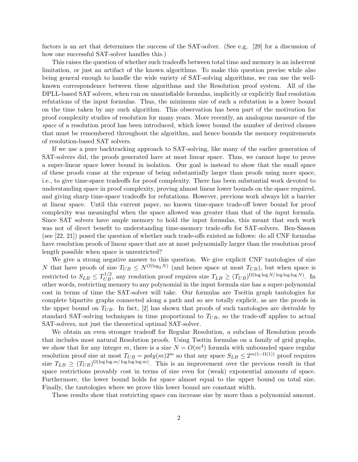factors is an art that determines the success of the SAT-solver. (See e.g, [29] for a discussion of how one successful SAT-solver handles this.)

This raises the question of whether such tradeoffs between total time and memory is an inherrent limitation, or just an artifact of the known algorithms. To make this question precise while also being general enough to handle the wide variety of SAT-solving algorithms, we can use the wellknown correspondence between these algorithms and the Resolution proof system. All of the DPLL-based SAT solvers, when run on unsatisfiable formulas, implicitly or explicitly find resolution refutations of the input formulas. Thus, the minimum size of such a refutation is a lower bound on the time taken by any such algorithm. This observation has been part of the motivation for proof complexity studies of resolution for many years. More recently, an analogous measure of the space of a resolution proof has been introduced, which lower bound the number of derived clauses that must be remembered throughout the algorithm, and hence bounds the memory requirements of resolution-based SAT solvers.

If we use a pure backtracking approach to SAT-solving, like many of the earlier generation of SAT-solvers did, the proofs generated have at most linear space. Thus, we cannot hope to prove a super-linear space lower bound in isolation. Our goal is instead to show that the small space of these proofs come at the expense of being substantially larger than proofs using more space, i.e., to give time-space tradeoffs for proof complexity. There has been substantial work devoted to understanding space in proof complexity, proving almost linear lower bounds on the space required, and giving sharp time-space tradeoffs for refutations. However, previous work always hit a barrier at linear space. Until this current paper, no known time-space trade-off lower bound for proof complexity was meaningful when the space allowed was greater than that of the input formula. Since SAT solvers have ample memory to hold the input formulas, this meant that such work was not of direct benefit to understanding time-memory trade-offs for SAT-solvers. Ben-Sasson (see [22, 21]) posed the question of whether such trade-offs existed as follows: do all CNF formulas have resolution proofs of linear space that are at most polynomially larger than the resolution proof length possible when space is unrestricted?

We give a strong negative answer to this question. We give explicit CNF tautologies of size N that have proofs of size  $T_{UB} \leq N^{O(\log_2 N)}$  (and hence space at most  $T_{UB}$ ), but when space is restricted to  $S_{LB} \leq T_{UB}^{1/2}$ , any resolution proof requires size  $T_{LB} \geq (T_{UB})^{\Omega(\log \log N/\log \log \log N)}$ . In other words, restricting memory to any polynomial in the input formula size has a super-polynomial cost in terms of time the SAT-solver will take. Our formulas are Tseitin graph tautologies for complete bipartite graphs connected along a path and so are totally explicit, as are the proofs in the upper bound on  $T_{UB}$ . In fact, [2] has shown that proofs of such tautologies are derivable by standard SAT-solving techniques in time proportional to  $T_{UB}$ , so the trade-off applies to actual SAT-solvers, not just the theoretical optimal SAT-solver.

We obtain an even stronger tradeoff for Regular Resolution, a subclass of Resolution proofs that includes most natural Resolution proofs. Using Tseitin formulas on a family of grid graphs, we show that for any integer m, there is a size  $N = O(m^4)$  formula with unbounded space regular resolution proof size at most  $T_{UB} = poly(m)2^m$  so that any space  $S_{LB} \leq 2^{m(1-\Omega(1))}$  proof requires size  $T_{LB} \geq (T_{UB})^{\Omega(\log \log m/\log \log m)}$ . This is an improvement over the previous result in that space restrictions provably cost in terms of size even for (weak) exponential amounts of space. Furthermore, the lower bound holds for space almost equal to the upper bound on total size. Finally, the tautologies where we prove this lower bound are constant width.

These results show that restricting space can increase size by more than a polynomial amount.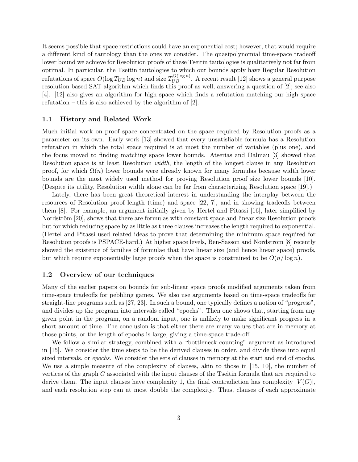It seems possible that space restrictions could have an exponential cost; however, that would require a different kind of tautology than the ones we consider. The quasipolynomial time-space tradeoff lower bound we achieve for Resolution proofs of these Tseitin tautologies is qualitatively not far from optimal. In particular, the Tseitin tautologies to which our bounds apply have Regular Resolution refutations of space  $O(\log T_{UB} \log n)$  and size  $T_{UB}^{O(\log n)}$ . A recent result [12] shows a general purpose resolution based SAT algorithm which finds this proof as well, answering a question of [2]; see also [4]. [12] also gives an algorithm for high space which finds a refutation matching our high space refutation – this is also achieved by the algorithm of  $[2]$ .

### 1.1 History and Related Work

Much initial work on proof space concentrated on the space required by Resolution proofs as a parameter on its own. Early work [13] showed that every unsatisfiable formula has a Resolution refutation in which the total space required is at most the number of variables (plus one), and the focus moved to finding matching space lower bounds. Atserias and Dalmau [3] showed that Resolution space is at least Resolution width, the length of the longest clause in any Resolution proof, for which  $\Omega(n)$  lower bounds were already known for many formulas because width lower bounds are the most widely used method for proving Resolution proof size lower bounds [10]. (Despite its utility, Resolution width alone can be far from characterizing Resolution space [19].)

Lately, there has been great theoretical interest in understanding the interplay between the resources of Resolution proof length (time) and space [22, 7], and in showing tradeoffs between them [8]. For example, an argument initially given by Hertel and Pitassi [16], later simplified by Nordström [20], shows that there are formulas with constant space and linear size Resolution proofs but for which reducing space by as little as three clauses increases the length required to exponential. (Hertel and Pitassi used related ideas to prove that determining the minimum space required for Resolution proofs is PSPACE-hard.) At higher space levels, Ben-Sasson and Nordström [8] recently showed the existence of families of formulae that have linear size (and hence linear space) proofs, but which require exponentially large proofs when the space is constrained to be  $O(n/\log n)$ .

### 1.2 Overview of our techniques

Many of the earlier papers on bounds for sub-linear space proofs modified arguments taken from time-space tradeoffs for pebbling games. We also use arguments based on time-space tradeoffs for straight-line programs such as [27, 23]. In such a bound, one typically defines a notion of "progress", and divides up the program into intervals called "epochs". Then one shows that, starting from any given point in the program, on a random input, one is unlikely to make significant progress in a short amount of time. The conclusion is that either there are many values that are in memory at those points, or the length of epochs is large, giving a time-space trade-off.

We follow a similar strategy, combined with a "bottleneck counting" argument as introduced in [15]. We consider the time steps to be the derived clauses in order, and divide these into equal sized intervals, or epochs. We consider the sets of clauses in memory at the start and end of epochs. We use a simple measure of the complexity of clauses, akin to those in [15, 10], the number of vertices of the graph G associated with the input clauses of the Tseitin formula that are required to derive them. The input clauses have complexity 1, the final contradiction has complexity  $|V(G)|$ , and each resolution step can at most double the complexity. Thus, clauses of each approximate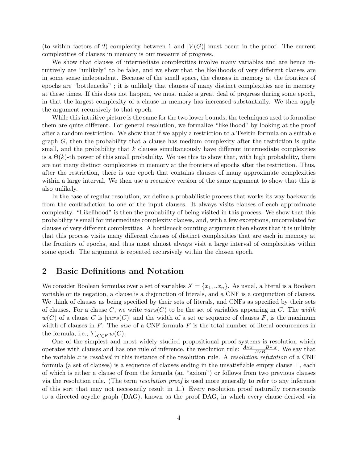(to within factors of 2) complexity between 1 and  $|V(G)|$  must occur in the proof. The current complexities of clauses in memory is our measure of progress.

We show that clauses of intermediate complexities involve many variables and are hence intuitively are "unlikely" to be false, and we show that the likelihoods of very different clauses are in some sense independent. Because of the small space, the clauses in memory at the frontiers of epochs are "bottlenecks" ; it is unlikely that clauses of many distinct complexities are in memory at these times. If this does not happen, we must make a great deal of progress during some epoch, in that the largest complexity of a clause in memory has increased substantially. We then apply the argument recursively to that epoch.

While this intuitive picture is the same for the two lower bounds, the techniques used to formalize them are quite different. For general resolution, we formalize "likelihood" by looking at the proof after a random restriction. We show that if we apply a restriction to a Tseitin formula on a suitable graph G, then the probability that a clause has medium complexity after the restriction is quite small, and the probability that  $k$  clauses simultaneously have different intermediate complexities is a  $\Theta(k)$ -th power of this small probability. We use this to show that, with high probability, there are not many distinct complexities in memory at the frontiers of epochs after the restriction. Thus, after the restriction, there is one epoch that contains clauses of many approximate complexities within a large interval. We then use a recursive version of the same argument to show that this is also unlikely.

In the case of regular resolution, we define a probabilistic process that works its way backwards from the contradiction to one of the input clauses. It always visits clauses of each approximate complexity. "Likelihood" is then the probability of being visited in this process. We show that this probability is small for intermediate complexity clauses, and, with a few exceptions, uncorrelated for clauses of very different complexities. A bottleneck counting argument then shows that it is unlikely that this process visits many different clauses of distinct complexities that are each in memory at the frontiers of epochs, and thus must almost always visit a large interval of complexities within some epoch. The argument is repeated recursively within the chosen epoch.

### 2 Basic Definitions and Notation

We consider Boolean formulas over a set of variables  $X = \{x_1, ... x_n\}$ . As usual, a literal is a Boolean variable or its negation, a clause is a disjunction of literals, and a CNF is a conjunction of clauses. We think of clauses as being specified by their sets of literals, and CNFs as specified by their sets of clauses. For a clause C, we write  $vars(C)$  to be the set of variables appearing in C. The width  $w(C)$  of a clause C is  $|vars(C)|$  and the width of a set or sequence of clauses F, is the maximum width of clauses in F. The size of a CNF formula F is the total number of literal occurrences in the formula, i.e.,  $\sum_{C \in F} w(C)$ .

One of the simplest and most widely studied propositional proof systems is resolution which operates with clauses and has one rule of inference, the resolution rule:  $\frac{A\vee x}{A\vee B}$ . We say that the variable x is resolved in this instance of the resolution rule. A resolution refutation of a CNF formula (a set of clauses) is a sequence of clauses ending in the unsatisfiable empty clause  $\perp$ , each of which is either a clause of from the formula (an "axiom") or follows from two previous clauses via the resolution rule. (The term resolution proof is used more generally to refer to any inference of this sort that may not necessarily result in ⊥.) Every resolution proof naturally corresponds to a directed acyclic graph (DAG), known as the proof DAG, in which every clause derived via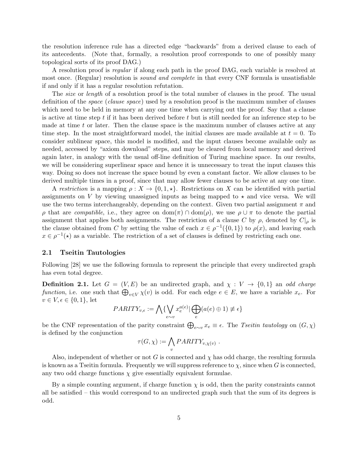the resolution inference rule has a directed edge "backwards" from a derived clause to each of its antecedents. (Note that, formally, a resolution proof corresponds to one of possibly many topological sorts of its proof DAG.)

A resolution proof is *regular* if along each path in the proof DAG, each variable is resolved at most once. (Regular) resolution is sound and complete in that every CNF formula is unsatisfiable if and only if it has a regular resolution refutation.

The *size* or *length* of a resolution proof is the total number of clauses in the proof. The usual definition of the space (clause space) used by a resolution proof is the maximum number of clauses which need to be held in memory at any one time when carrying out the proof. Say that a clause is active at time step t if it has been derived before t but is still needed for an inference step to be made at time t or later. Then the clause space is the maximum number of clauses active at any time step. In the most straightforward model, the initial clauses are made available at  $t = 0$ . To consider sublinear space, this model is modified, and the input clauses become available only as needed, accessed by "axiom download" steps, and may be cleared from local memory and derived again later, in analogy with the usual off-line definition of Turing machine space. In our results, we will be considering superlinear space and hence it is unnecessary to treat the input clauses this way. Doing so does not increase the space bound by even a constant factor. We allow clauses to be derived multiple times in a proof, since that may allow fewer clauses to be active at any one time.

A restriction is a mapping  $\rho: X \to \{0, 1, \star\}$ . Restrictions on X can be identified with partial assignments on V by viewing unassigned inputs as being mapped to  $\star$  and vice versa. We will use the two terms interchangeably, depending on the context. Given two partial assignment  $\pi$  and  $ρ$  that are *compatible*, i.e., they agree on dom(π) ∩ dom( $ρ$ ), we use  $ρ ∪ π$  to denote the partial assignment that applies both assignments. The restriction of a clause C by  $\rho$ , denoted by  $C|_{\rho}$  is the clause obtained from C by setting the value of each  $x \in \rho^{-1}(\{0,1\})$  to  $\rho(x)$ , and leaving each  $x \in \rho^{-1}(\star)$  as a variable. The restriction of a set of clauses is defined by restricting each one.

### 2.1 Tseitin Tautologies

Following [28] we use the following formula to represent the principle that every undirected graph has even total degree.

**Definition 2.1.** Let  $G = (V, E)$  be an undirected graph, and  $\chi : V \to \{0, 1\}$  an odd charge function, i.e. one such that  $\bigoplus_{v\in V}\chi(v)$  is odd. For each edge  $e\in E$ , we have a variable  $x_e$ . For  $v \in V, \epsilon \in \{0,1\}, \text{ let }$ 

$$
PARITY_{v,\epsilon} := \bigwedge \{ \bigvee_{e \sim v} x_e^{a(e)} | \bigoplus_e (a(e) \oplus 1) \neq \epsilon \}
$$

be the CNF representation of the parity constraint  $\bigoplus_{e\sim v} x_e \equiv \epsilon$ . The Tseitin tautology on  $(G, \chi)$ is defined by the conjunction

$$
\tau(G,\chi) := \bigwedge_{v} PARITY_{v,\chi(v)} .
$$

Also, independent of whether or not G is connected and  $\chi$  has odd charge, the resulting formula is known as a Tseitin formula. Frequently we will suppress reference to  $\chi$ , since when G is connected, any two odd charge functions  $\chi$  give essentially equivalent formulae.

By a simple counting argument, if charge function  $\chi$  is odd, then the parity constraints cannot all be satisfied – this would correspond to an undirected graph such that the sum of its degrees is odd.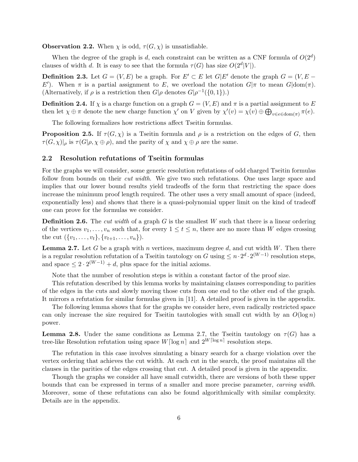**Observation 2.2.** When  $\chi$  is odd,  $\tau(G, \chi)$  is unsatisfiable.

When the degree of the graph is d, each constraint can be written as a CNF formula of  $O(2^d)$ clauses of width d. It is easy to see that the formula  $\tau(G)$  has size  $O(2^d|V|)$ .

**Definition 2.3.** Let  $G = (V, E)$  be a graph. For  $E' \subset E$  let  $G|E'$  denote the graph  $G = (V, E -$ E'). When  $\pi$  is a partial assignment to E, we overload the notation  $G|\pi$  to mean  $G|\text{dom}(\pi)$ . (Alternatively, if  $\rho$  is a restriction then  $G|\rho$  denotes  $G|\rho^{-1}(\{0,1\})$ .)

**Definition 2.4.** If  $\chi$  is a charge function on a graph  $G = (V, E)$  and  $\pi$  is a partial assignment to E then let  $\chi \oplus \pi$  denote the new charge function  $\chi'$  on V given by  $\chi'(v) = \chi(v) \oplus \bigoplus_{v \in e \in \text{dom}(\pi)} \pi(e)$ .

The following formalizes how restrictions affect Tseitin formulas.

**Proposition 2.5.** If  $\tau(G, \chi)$  is a Tseitin formula and  $\rho$  is a restriction on the edges of G, then  $\tau(G, \chi)|_{\rho}$  is  $\tau(G|\rho, \chi \oplus \rho)$ , and the parity of  $\chi$  and  $\chi \oplus \rho$  are the same.

### 2.2 Resolution refutations of Tseitin formulas

For the graphs we will consider, some generic resolution refutations of odd charged Tseitin formulas follow from bounds on their *cut width*. We give two such refutations. One uses large space and implies that our lower bound results yield tradeoffs of the form that restricting the space does increase the minimum proof length required. The other uses a very small amount of space (indeed, exponentially less) and shows that there is a quasi-polynomial upper limit on the kind of tradeoff one can prove for the formulas we consider.

**Definition 2.6.** The cut width of a graph G is the smallest W such that there is a linear ordering of the vertices  $v_1, \ldots, v_n$  such that, for every  $1 \le t \le n$ , there are no more than W edges crossing the cut  $({v_1, \ldots, v_t}, {v_{t+1}, \ldots, v_n}).$ 

**Lemma 2.7.** Let G be a graph with n vertices, maximum degree d, and cut width  $W$ . Then there is a regular resolution refutation of a Tseitin tautology on G using  $\leq n \cdot 2^d \cdot 2^{(W-1)}$  resolution steps, and space  $\leq 2 \cdot 2^{(W-1)} + d$ , plus space for the initial axioms.

Note that the number of resolution steps is within a constant factor of the proof size.

This refutation described by this lemma works by maintaining clauses corresponding to parities of the edges in the cuts and slowly moving those cuts from one end to the other end of the graph. It mirrors a refutation for similar formulas given in [11]. A detailed proof is given in the appendix.

The following lemma shows that for the graphs we consider here, even radically restricted space can only increase the size required for Tseitin tautologies with small cut width by an  $O(\log n)$ power.

**Lemma 2.8.** Under the same conditions as Lemma 2.7, the Tseitin tautology on  $\tau(G)$  has a tree-like Resolution refutation using space  $W[\log n]$  and  $2^{W[\log n]}$  resolution steps.

The refutation in this case involves simulating a binary search for a charge violation over the vertex ordering that achieves the cut width. At each cut in the search, the proof maintains all the clauses in the parities of the edges crossing that cut. A detailed proof is given in the appendix.

Though the graphs we consider all have small cutwidth, there are versions of both these upper bounds that can be expressed in terms of a smaller and more precise parameter, carving width. Moreover, some of these refutations can also be found algorithmically with similar complexity. Details are in the appendix.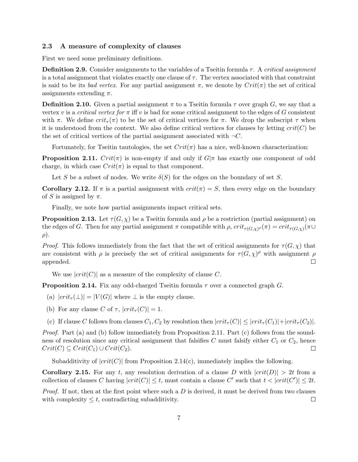### 2.3 A measure of complexity of clauses

First we need some preliminary definitions.

**Definition 2.9.** Consider assignments to the variables of a Tseitin formula  $\tau$ . A critical assignment is a total assignment that violates exactly one clause of  $\tau$ . The vertex associated with that constraint is said to be its bad vertex. For any partial assignment  $\pi$ , we denote by  $Crit(\pi)$  the set of critical assignments extending  $\pi$ .

**Definition 2.10.** Given a partial assignment  $\pi$  to a Tseitin formula  $\tau$  over graph G, we say that a vertex v is a critical vertex for  $\pi$  iff v is bad for some critical assignment to the edges of G consistent with  $\pi$ . We define  $crit_{\tau}(\pi)$  to be the set of critical vertices for  $\pi$ . We drop the subscript  $\tau$  when it is understood from the context. We also define critical vertices for clauses by letting  $crit(C)$  be the set of critical vertices of the partial assignment associated with  $\neg C$ .

Fortunately, for Tseitin tautologies, the set  $Crit(\pi)$  has a nice, well-known characterization:

**Proposition 2.11.**  $Crit(\pi)$  is non-empty if and only if  $G|\pi$  has exactly one component of odd charge, in which case  $Crit(\pi)$  is equal to that component.

Let S be a subset of nodes. We write  $\delta(S)$  for the edges on the boundary of set S.

Corollary 2.12. If  $\pi$  is a partial assignment with  $crit(\pi) = S$ , then every edge on the boundary of S is assigned by  $\pi$ .

Finally, we note how partial assignments impact critical sets.

**Proposition 2.13.** Let  $\tau(G, \chi)$  be a Tseitin formula and  $\rho$  be a restriction (partial assignment) on the edges of G. Then for any partial assignment  $\pi$  compatible with  $\rho$ ,  $crit_{\tau(G,\chi)P}(\pi) = crit_{\tau(G,\chi)}(\pi \cup$  $\rho$ ).

*Proof.* This follows immediately from the fact that the set of critical assignments for  $\tau(G, \chi)$  that are consistent with  $\rho$  is precisely the set of critical assignments for  $\tau(G, \chi)^\rho$  with assignment  $\rho$ appended.  $\Box$ 

We use  $|crit(C)|$  as a measure of the complexity of clause C.

**Proposition 2.14.** Fix any odd-charged Tseitin formula  $\tau$  over a connected graph G.

- (a)  $|crit_\tau(\perp)| = |V(G)|$  where  $\perp$  is the empty clause.
- (b) For any clause C of  $\tau$ ,  $|crit_{\tau}(C)| = 1$ .
- (c) If clause C follows from clauses  $C_1, C_2$  by resolution then  $|crit_\tau(C)| \leq |crit_\tau(C_1)|+|crit_\tau(C_2)|$ .

Proof. Part (a) and (b) follow immediately from Proposition 2.11. Part (c) follows from the soundness of resolution since any critical assignment that falsifies  $C$  must falsify either  $C_1$  or  $C_2$ , hence  $Crit(C) \subseteq Crit(C_1) \cup Crit(C_2).$  $\Box$ 

Subadditivity of  $|crit(C)|$  from Proposition 2.14(c), immediately implies the following.

**Corollary 2.15.** For any t, any resolution derivation of a clause D with  $|crit(D)| > 2t$  from a collection of clauses C having  $|crit(C)| \leq t$ , must contain a clause C' such that  $t < |crit(C')| \leq 2t$ .

*Proof.* If not, then at the first point where such a  $D$  is derived, it must be derived from two clauses with complexity  $\leq t$ , contradicting subadditivity.  $\Box$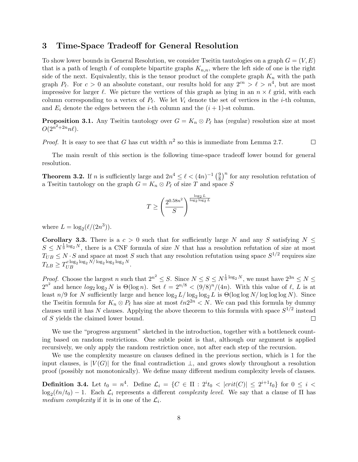### 3 Time-Space Tradeoff for General Resolution

To show lower bounds in General Resolution, we consider Tseitin tautologies on a graph  $G = (V, E)$ that is a path of length  $\ell$  of complete bipartite graphs  $K_{n,n}$ , where the left side of one is the right side of the next. Equivalently, this is the tensor product of the complete graph  $K_n$  with the path graph  $P_\ell$ . For  $c > 0$  an absolute constant, our results hold for any  $2^{cn} > \ell > n^4$ , but are most impressive for larger  $\ell$ . We picture the vertices of this graph as lying in an  $n \times \ell$  grid, with each column corresponding to a vertex of  $P_\ell$ . We let  $V_i$  denote the set of vertices in the *i*-th column, and  $E_i$  denote the edges between the *i*-th column and the  $(i + 1)$ -st column.

**Proposition 3.1.** Any Tseitin tautology over  $G = K_n \otimes P_\ell$  has (regular) resolution size at most  $O(2^{n^2+2n}n\ell).$ 

*Proof.* It is easy to see that G has cut width  $n^2$  so this is immediate from Lemma 2.7.  $\Box$ 

The main result of this section is the following time-space tradeoff lower bound for general resolution.

**Theorem 3.2.** If *n* is sufficiently large and  $2n^4 \leq \ell < (4n)^{-1} \left(\frac{9}{8}\right)^2$  $\frac{9}{8}$ <sup>n</sup> for any resolution refutation of a Tseitin tautology on the graph  $G = K_n \otimes P_\ell$  of size T and space S

$$
T \ge \left(\frac{2^{0.58n^2}}{S}\right)^{\frac{\log_2 L}{\log_2 \log_2 L}}
$$

where  $L = \log_2(\ell/(2n^3))$ .

Corollary 3.3. There is a  $c > 0$  such that for sufficiently large N and any S satisfying  $N \leq$  $S \n\t\le N^{\frac{1}{9} \log_2 N}$ , there is a CNF formula of size N that has a resolution refutation of size at most  $T_{UB} \le N \cdot S$  and space at most S such that any resolution refutation using space  $S^{1/2}$  requires size  $T_{LB} \geq T_{UB}^{c \log_2 \log_2 N / \log_2 \log_2 \log_2 N}.$ 

*Proof.* Choose the largest n such that  $2^{n^2} \leq S$ . Since  $N \leq S \leq N^{\frac{1}{9} \log_2 N}$ , we must have  $2^{3n} \leq N \leq$  $2^{n^2}$  and hence  $log_2 \log_2 N$  is  $\Theta(\log n)$ . Set  $\ell = 2^{n/8} < (9/8)^n/(4n)$ . With this value of  $\ell$ , L is at least  $n/9$  for N sufficiently large and hence  $\log_2 L/\log_2 \log_2 L$  is  $\Theta(\log \log N/\log \log \log N)$ . Since the Tseitin formula for  $K_n \otimes P_\ell$  has size at most  $\ell n2^{2n} < N$ . We can pad this formula by dummy clauses until it has N clauses. Applying the above theorem to this formula with space  $S^{1/2}$  instead of S yields the claimed lower bound.  $\Box$ 

We use the "progress argument" sketched in the introduction, together with a bottleneck counting based on random restrictions. One subtle point is that, although our argument is applied recursively, we only apply the random restriction once, not after each step of the recursion.

We use the complexity measure on clauses defined in the previous section, which is 1 for the input clauses, is  $|V(G)|$  for the final contradiction  $\perp$ , and grows slowly throughout a resolution proof (possibly not monotonically). We define many different medium complexity levels of clauses.

**Definition 3.4.** Let  $t_0 = n^4$ . Define  $\mathcal{L}_i = \{C \in \Pi : 2^i t_0 < |crit(C)| \leq 2^{i+1} t_0 \}$  for  $0 \leq i <$  $\log_2(\ln/t_0) - 1$ . Each  $\mathcal{L}_i$  represents a different *complexity level*. We say that a clause of  $\Pi$  has medium complexity if it is in one of the  $\mathcal{L}_i$ .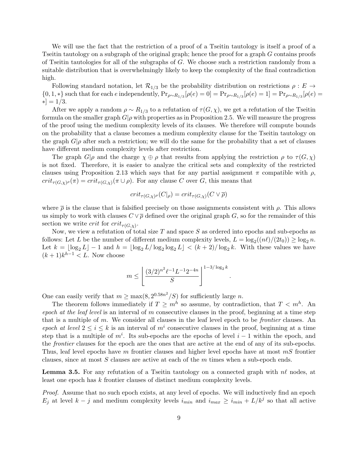We will use the fact that the restriction of a proof of a Tseitin tautology is itself a proof of a Tseitin tautology on a subgraph of the original graph; hence the proof for a graph G contains proofs of Tseitin tautologies for all of the subgraphs of  $G$ . We choose such a restriction randomly from a suitable distribution that is overwhelmingly likely to keep the complexity of the final contradiction high.

Following standard notation, let  $\mathcal{R}_{1/3}$  be the probability distribution on restrictions  $\rho: E \to$  $\{0, 1, *\}$  such that for each e independently,  $Pr_{\rho \sim R_{1/3}}[\rho(e) = 0] = Pr_{\rho \sim R_{1/3}}[\rho(e) = 1] = Pr_{\rho \sim R_{1/3}}[\rho(e) = 1]$  $*]=1/3.$ 

After we apply a random  $\rho \sim R_{1/3}$  to a refutation of  $\tau(G, \chi)$ , we get a refutation of the Tseitin formula on the smaller graph  $G|\rho$  with properties as in Proposition 2.5. We will measure the progress of the proof using the medium complexity levels of its clauses. We therefore will compute bounds on the probability that a clause becomes a medium complexity clause for the Tseitin tautology on the graph  $G|\rho$  after such a restriction; we will do the same for the probability that a set of clauses have different medium complexity levels after restriction.

The graph  $G|\rho$  and the charge  $\chi \oplus \rho$  that results from applying the restriction  $\rho$  to  $\tau(G, \chi)$ is not fixed. Therefore, it is easier to analyze the critical sets and complexity of the restricted clauses using Proposition 2.13 which says that for any partial assignment  $\pi$  compatible with  $\rho$ ,  $crit_{\tau(G,\chi)^{\rho}}(\pi) = crit_{\tau(G,\chi)}(\pi \cup \rho)$ . For any clause C over G, this means that

$$
crit_{\tau(G,\chi)^{\rho}}(C|_{\rho}) = crit_{\tau(G,\chi)}(C \vee \overline{\rho})
$$

where  $\bar{\rho}$  is the clause that is falsified precisely on those assignments consistent with  $\rho$ . This allows us simply to work with clauses  $C \vee \overline{\rho}$  defined over the original graph G, so for the remainder of this section we write *crit* for  $crit_{\tau(G,\chi)}$ .

Now, we view a refutation of total size  $T$  and space  $S$  as ordered into epochs and sub-epochs as follows: Let L be the number of different medium complexity levels,  $L = \log_2((n\ell)/(2t_0)) \ge \log_2 n$ . Let  $k = \lfloor \log_2 L \rfloor - 1$  and  $h = \lfloor \log_2 L/\log_2 \log_2 L \rfloor < (k+2)/\log_2 k$ . With these values we have  $(k+1)k^{h-1} < L$ . Now choose

$$
m \leq \left\lfloor \frac{(3/2)^{n^2} \ell^{-1} L^{-1} 2^{-4n}}{S} \right\rfloor^{1-3/\log_2 k}.
$$

One can easily verify that  $m \ge \max(8, 2^{0.58n^2}/S)$  for sufficiently large n.

The theorem follows immediately if  $T \geq m^h$  so assume, by contradiction, that  $T \leq m^h$ . An epoch at the leaf level is an interval of m consecutive clauses in the proof, beginning at a time step that is a multiple of  $m$ . We consider all clauses in the leaf level epoch to be *frontier* clauses. An epoch at level  $2 \leq i \leq k$  is an interval of  $m^i$  consecutive clauses in the proof, beginning at a time step that is a multiple of  $m^i$ . Its sub-epochs are the epochs of level  $i-1$  within the epoch, and the frontier clauses for the epoch are the ones that are active at the end of any of its sub-epochs. Thus, leaf level epochs have m frontier clauses and higher level epochs have at most  $mS$  frontier clauses, since at most  $S$  clauses are active at each of the  $m$  times when a sub-epoch ends.

**Lemma 3.5.** For any refutation of a Tseitin tautology on a connected graph with  $n\ell$  nodes, at least one epoch has k frontier clauses of distinct medium complexity levels.

Proof. Assume that no such epoch exists, at any level of epochs. We will inductively find an epoch  $E_j$  at level  $k - j$  and medium complexity levels  $i_{min}$  and  $i_{max} \ge i_{min} + L/k^j$  so that all active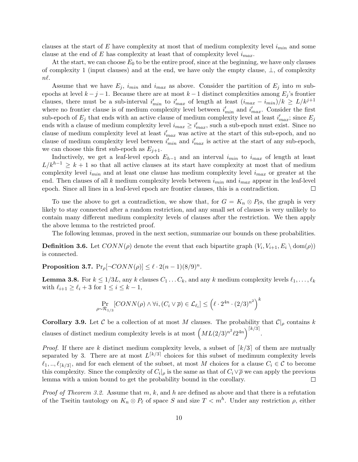clauses at the start of E have complexity at most that of medium complexity level  $i_{min}$  and some clause at the end of E has complexity at least that of complexity level  $i_{max}$ .

At the start, we can choose  $E_0$  to be the entire proof, since at the beginning, we have only clauses of complexity 1 (input clauses) and at the end, we have only the empty clause, ⊥, of complexity  $n\ell$ .

Assume that we have  $E_j$ ,  $i_{min}$  and  $i_{max}$  as above. Consider the partition of  $E_j$  into m subepochs at level  $k - j - 1$ . Because there are at most  $k - 1$  distinct complexities among  $E_j$ 's frontier clauses, there must be a sub-interval  $i'_{min}$  to  $i'_{max}$  of length at least  $(i_{max} - i_{min})/k \ge L/k^{j+1}$ where no frontier clause is of medium complexity level between  $i'_{min}$  and  $i'_{max}$ . Consider the first sub-epoch of  $E_j$  that ends with an active clause of medium complexity level at least  $i'_{max}$ ; since  $E_j$ ends with a clause of medium complexity level  $i_{max} \geq i'_{max}$ , such a sub-epoch must exist. Since no clause of medium complexity level at least  $i'_{max}$  was active at the start of this sub-epoch, and no clause of medium complexity level between  $i'_{min}$  and  $i'_{max}$  is active at the start of any sub-epoch, we can choose this first sub-epoch as  $E_{i+1}$ .

Inductively, we get a leaf-level epoch  $E_{h-1}$  and an interval  $i_{min}$  to  $i_{max}$  of length at least  $L/k^{h-1} \geq k+1$  so that all active clauses at its start have complexity at most that of medium complexity level  $i_{min}$  and at least one clause has medium complexity level  $i_{max}$  or greater at the end. Then clauses of all k medium complexity levels between  $i_{min}$  and  $i_{max}$  appear in the leaf-level epoch. Since all lines in a leaf-level epoch are frontier clauses, this is a contradiction.  $\Box$ 

To use the above to get a contradiction, we show that, for  $G = K_n \otimes P_{\ell}$ s, the graph is very likely to stay connected after a random restriction, and any small set of clauses is very unlikely to contain many different medium complexity levels of clauses after the restriction. We then apply the above lemma to the restricted proof.

The following lemmas, proved in the next section, summarize our bounds on these probabilities.

**Definition 3.6.** Let  $CONN(\rho)$  denote the event that each bipartite graph  $(V_i, V_{i+1}, E_i \setminus \text{dom}(\rho))$ is connected.

Proposition 3.7.  $Pr_{\rho}[\neg CONN(\rho)] \leq \ell \cdot 2(n-1)(8/9)^n$ .

**Lemma 3.8.** For  $k \leq 1/3L$ , any k clauses  $C_1 \ldots C_k$ , and any k medium complexity levels  $\ell_1, \ldots, \ell_k$ with  $\ell_{i+1} \geq \ell_i + 3$  for  $1 \leq i \leq k - 1$ ,

$$
\Pr_{\rho \sim \mathcal{R}_{1/3}}[CONN(\rho) \land \forall i, (C_i \lor \overline{\rho}) \in \mathcal{L}_{\ell_i}] \leq \left(\ell \cdot 2^{4n} \cdot (2/3)^{n^2}\right)^k
$$

**Corollary 3.9.** Let C be a collection of at most M clauses. The probability that  $C|_{\rho}$  contains k clauses of distinct medium complexity levels is at most  $\left( ML(2/3)^{n^2} \ell 2^{4n} \right)^{\lceil k/3 \rceil}$ .

*Proof.* If there are k distinct medium complexity levels, a subset of  $\lceil k/3 \rceil$  of them are mutually separated by 3. There are at most  $L^{[k/3]}$  choices for this subset of medimum complexity levels  $\ell_1, ..., \ell_{\lceil k/3 \rceil}$ , and for each element of the subset, at most M choices for a clause  $C_i \in \mathcal{C}$  to become this complexity. Since the complexity of  $C_i|_\rho$  is the same as that of  $C_i \vee \overline{\rho}$  we can apply the previous lemma with a union bound to get the probability bound in the corollary.  $\Box$ 

*Proof of Theorem 3.2.* Assume that  $m, k$ , and  $h$  are defined as above and that there is a refutation of the Tseitin tautology on  $K_n \otimes P_\ell$  of space S and size  $T < m^h$ . Under any restriction  $\rho$ , either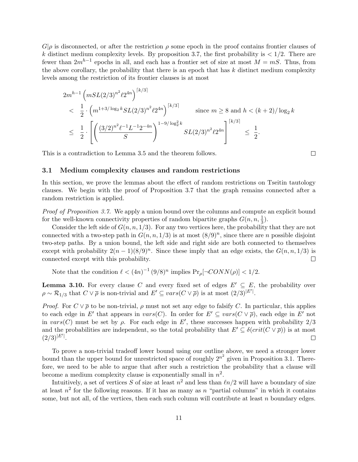$G|\rho$  is disconnected, or after the restriction  $\rho$  some epoch in the proof contains frontier clauses of k distinct medium complexity levels. By proposition 3.7, the first probability is  $\langle 1/2, 1 \rangle$  There are fewer than  $2m^{h-1}$  epochs in all, and each has a frontier set of size at most  $M = mS$ . Thus, from the above corollary, the probability that there is an epoch that has  $k$  distinct medium complexity levels among the restriction of its frontier clauses is at most

$$
2m^{h-1} \left( mSL(2/3)^{n^2} \ell 2^{4n} \right)^{\lceil k/3 \rceil}
$$
  

$$
< \frac{1}{2} \cdot \left( m^{1+3/\log_2 k} SL(2/3)^{n^2} \ell 2^{4n} \right)^{\lceil k/3 \rceil}
$$
 since  $m \ge 8$  and  $h < (k+2)/\log_2 k$   

$$
\le \frac{1}{2} \cdot \left[ \left( \frac{(3/2)^{n^2} \ell^{-1} L^{-1} 2^{-4n}}{S} \right)^{1-9/\log_2^2 k} SL(2/3)^{n^2} \ell 2^{4n} \right]^{ \lceil k/3 \rceil} \le \frac{1}{2}.
$$

This is a contradiction to Lemma 3.5 and the theorem follows.

### 3.1 Medium complexity clauses and random restrictions

In this section, we prove the lemmas about the effect of random restrictions on Tseitin tautology clauses. We begin with the proof of Proposition 3.7 that the graph remains connected after a random restriction is applied.

Proof of Proposition 3.7. We apply a union bound over the columns and compute an explicit bound for the well-known connectivity properties of random bipartite graphs  $G(n, n, \frac{1}{3})$ .

Consider the left side of  $G(n, n, 1/3)$ . For any two vertices here, the probability that they are not connected with a two-step path in  $G(n, n, 1/3)$  is at most  $(8/9)^n$ , since there are n possible disjoint two-step paths. By a union bound, the left side and right side are both connected to themselves except with probability  $2(n-1)(8/9)^n$ . Since these imply that an edge exists, the  $G(n, n, 1/3)$  is connected except with this probability.  $\Box$ 

Note that the condition  $\ell < (4n)^{-1} (9/8)^n$  implies  $Pr_{\rho}[\neg CONN(\rho)] < 1/2$ .

**Lemma 3.10.** For every clause C and every fixed set of edges  $E' \subseteq E$ , the probability over  $\rho \sim \mathcal{R}_{1/3}$  that  $C \vee \overline{\rho}$  is non-trivial and  $E' \subseteq vars(C \vee \overline{\rho})$  is at most  $(2/3)^{|E'|}$ .

*Proof.* For  $C \vee \overline{\rho}$  to be non-trivial,  $\rho$  must not set any edge to falsify C. In particular, this applies to each edge in E' that appears in  $vars(C)$ . In order for  $E' \subseteq vars(C \vee \overline{\rho})$ , each edge in E' not in  $vars(C)$  must be set by  $\rho$ . For each edge in E', these successes happen with probability 2/3 and the probabilities are independent, so the total probability that  $E' \subseteq \delta(crit(C \vee \overline{\rho}))$  is at most  $(2/3)^{|E'|}$ .  $\Box$ 

To prove a non-trivial tradeoff lower bound using our outline above, we need a stronger lower bound than the upper bound for unrestricted space of roughly  $2^{n^2}$  given in Proposition 3.1. Therefore, we need to be able to argue that after such a restriction the probability that a clause will become a medium complexity clause is exponentially small in  $n^2$ .

Intuitively, a set of vertices S of size at least  $n^2$  and less than  $\ln/2$  will have a boundary of size at least  $n^2$  for the following reasons. If it has as many as n "partial columns" in which it contains some, but not all, of the vertices, then each such column will contribute at least n boundary edges.

 $\Box$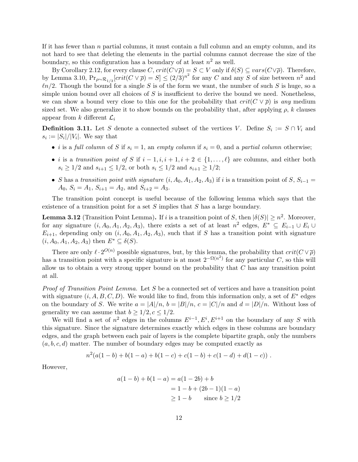If it has fewer than  $n$  partial columns, it must contain a full column and an empty column, and its not hard to see that deleting the elements in the partial columns cannot decrease the size of the boundary, so this configuration has a boundary of at least  $n^2$  as well.

By Corollary 2.12, for every clause  $C$ ,  $crit(C\vee\overline{\rho})=S\subset V$  only if  $\delta(S)\subseteq vars(C\vee\overline{\rho})$ . Therefore, by Lemma 3.10,  $Pr_{\rho \sim \mathcal{R}_{1/3}}[crit(C \vee \overline{\rho})] \leq (2/3)^{n^2}$  for any C and any S of size between  $n^2$  and  $ln/2$ . Though the bound for a single S is of the form we want, the number of such S is huge, so a simple union bound over all choices of  $S$  is insufficient to derive the bound we need. Nonetheless, we can show a bound very close to this one for the probability that  $crit(C \vee \overline{\rho})$  is any medium sized set. We also generalize it to show bounds on the probability that, after applying  $\rho$ , k clauses appear from k different  $\mathcal{L}_i$ 

**Definition 3.11.** Let S denote a connected subset of the vertices V. Define  $S_i := S \cap V_i$  and  $s_i := |S_i|/|V_i|$ . We say that

- i is a full column of S if  $s_i = 1$ , an empty column if  $s_i = 0$ , and a partial column otherwise;
- *i* is a transition point of S if  $i 1, i, i + 1, i + 2 \in \{1, ..., \ell\}$  are columns, and either both  $s_i \geq 1/2$  and  $s_{i+1} \leq 1/2$ , or both  $s_i \leq 1/2$  and  $s_{i+1} \geq 1/2$ ;
- S has a transition point with signature  $(i, A_0, A_1, A_2, A_3)$  if i is a transition point of S,  $S_{i-1}$  =  $A_0, S_i = A_1, S_{i+1} = A_2, \text{ and } S_{i+2} = A_3.$

The transition point concept is useful because of the following lemma which says that the existence of a transition point for a set S implies that S has a large boundary.

**Lemma 3.12** (Transition Point Lemma). If i is a transition point of S, then  $|\delta(S)| \ge n^2$ . Moreover, for any signature  $(i, A_0, A_1, A_2, A_3)$ , there exists a set of at least  $n^2$  edges,  $E^* \subseteq E_{i-1} \cup E_i \cup$  $E_{i+1}$ , depending only on  $(i, A_0, A_1, A_2, A_3)$ , such that if S has a transition point with signature  $(i, A_0, A_1, A_2, A_3)$  then  $E^* \subseteq \delta(S)$ .

There are only  $\ell \cdot 2^{O(n)}$  possible signatures, but, by this lemma, the probability that  $crit(C \vee \overline{\rho})$ has a transition point with a specific signature is at most  $2^{-\Omega(n^2)}$  for any particular C, so this will allow us to obtain a very strong upper bound on the probability that  $C$  has any transition point at all.

Proof of Transition Point Lemma. Let S be a connected set of vertices and have a transition point with signature  $(i, A, B, C, D)$ . We would like to find, from this information only, a set of  $E^*$  edges on the boundary of S. We write  $a = |A|/n$ ,  $b = |B|/n$ ,  $c = |C|/n$  and  $d = |D|/n$ . Without loss of generality we can assume that  $b > 1/2, c \leq 1/2$ .

We will find a set of  $n^2$  edges in the columns  $E^{i-1}, E^i, E^{i+1}$  on the boundary of any S with this signature. Since the signature determines exactly which edges in these columns are boundary edges, and the graph between each pair of layers is the complete bipartite graph, only the numbers  $(a, b, c, d)$  matter. The number of boundary edges may be computed exactly as

$$
n^2(a(1-b)+b(1-a)+b(1-c)+c(1-b)+c(1-d)+d(1-c))
$$
.

However,

$$
a(1-b) + b(1-a) = a(1-2b) + b
$$
  
= 1 - b + (2b - 1)(1 - a)  

$$
\ge 1 - b \qquad \text{since } b \ge 1/2
$$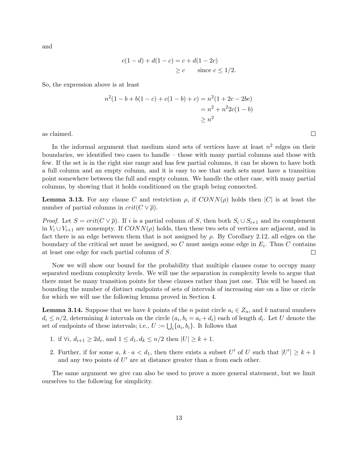and

$$
c(1-d) + d(1-c) = c + d(1-2c)
$$
  
\n $\geq c$  since  $c \leq 1/2$ .

So, the expression above is at least

$$
n^{2}(1-b+b(1-c) + c(1-b) + c) = n^{2}(1+2c-2bc)
$$
  
=  $n^{2} + n^{2}2c(1-b)$   
 $\geq n^{2}$ 

as claimed.

In the informal argument that medium sized sets of vertices have at least  $n^2$  edges on their boundaries, we identified two cases to handle – those with many partial columns and those with few. If the set is in the right size range and has few partial columns, it can be shown to have both a full column and an empty column, and it is easy to see that such sets must have a transition point somewhere between the full and empty column. We handle the other case, with many partial columns, by showing that it holds conditioned on the graph being connected.

**Lemma 3.13.** For any clause C and restriction  $\rho$ , if  $CONN(\rho)$  holds then  $|C|$  is at least the number of partial columns in  $crit(C \vee \overline{\rho})$ .

*Proof.* Let  $S = crit(C \vee \overline{\rho})$ . If i is a partial column of S, then both  $S_i \cup S_{i+1}$  and its complement in  $V_i \cup V_{i+1}$  are nonempty. If  $CONN(\rho)$  holds, then these two sets of vertices are adjacent, and in fact there is an edge between them that is not assigned by  $\rho$ . By Corollary 2.12, all edges on the boundary of the critical set must be assigned, so C must assign some edge in  $E_i$ . Thus C contains at least one edge for each partial column of S.  $\Box$ 

Now we will show our bound for the probability that multiple clauses come to occupy many separated medium complexity levels. We will use the separation in complexity levels to argue that there must be many transition points for these clauses rather than just one. This will be based on bounding the number of distinct endpoints of sets of intervals of increasing size on a line or circle for which we will use the following lemma proved in Section 4.

**Lemma 3.14.** Suppose that we have k points of the n point circle  $a_i \in Z_n$ , and k natural numbers  $d_i \leq n/2$ , determining k intervals on the circle  $(a_i, b_i = a_i + d_i)$  each of length  $d_i$ . Let U denote the set of endpoints of these intervals; i.e.,  $U := \bigcup_i \{a_i, b_i\}$ . It follows that

- 1. if  $\forall i, d_{i+1} \geq 2d_i$ , and  $1 \leq d_1, d_k \leq n/2$  then  $|U| \geq k+1$ .
- 2. Further, if for some  $a, k \cdot a < d_1$ , then there exists a subset U' of U such that  $|U'| \geq k+1$ and any two points of  $U'$  are at distance greater than  $a$  from each other.

The same argument we give can also be used to prove a more general statement, but we limit ourselves to the following for simplicity.

 $\Box$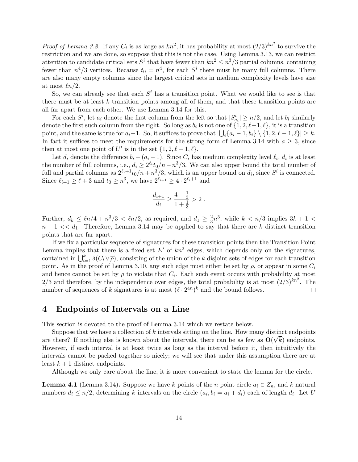*Proof of Lemma 3.8.* If any  $C_i$  is as large as  $kn^2$ , it has probability at most  $(2/3)^{kn^2}$  to survive the restriction and we are done, so suppose that this is not the case. Using Lemma 3.13, we can restrict attention to candidate critical sets  $S^i$  that have fewer than  $kn^2 \leq n^3/3$  partial columns, containing fewer than  $n^4/3$  vertices. Because  $t_0 = n^4$ , for each  $S^i$  there must be many full columns. There are also many empty columns since the largest critical sets in medium complexity levels have size at most  $ln/2$ .

So, we can already see that each  $S<sup>i</sup>$  has a transition point. What we would like to see is that there must be at least k transition points among all of them, and that these transition points are all far apart from each other. We use Lemma 3.14 for this.

For each  $S^i$ , let  $a_i$  denote the first column from the left so that  $|S^i_{a_i}| \geq n/2$ , and let  $b_i$  similarly denote the first such column from the right. So long as  $b_i$  is not one of  $\{1, 2, \ell-1, \ell\}$ , it is a transition point, and the same is true for  $a_i-1$ . So, it suffices to prove that  $\left|\bigcup_i \{a_i-1, b_i\} \setminus \{1, 2, \ell-1, \ell\}\right| \geq k$ . In fact it suffices to meet the requirements for the strong form of Lemma 3.14 with  $a \geq 3$ , since then at most one point of U' is in the set  $\{1, 2, \ell - 1, \ell\}.$ 

Let  $d_i$  denote the difference  $b_i - (a_i - 1)$ . Since  $C_i$  has medium complexity level  $\ell_i$ ,  $d_i$  is at least the number of full columns, i.e.,  $d_i \geq 2^{\ell_i} t_0/n - n^3/3$ . We can also upper bound the total number of full and partial columns as  $2^{\ell_i+1}t_0/n + n^3/3$ , which is an upper bound on  $d_i$ , since  $S^i$  is connected. Since  $\ell_{i+1} \geq \ell + 3$  and  $t_0 \geq n^3$ , we have  $2^{\ell_{i+1}} \geq 4 \cdot 2^{\ell_i+1}$  and

$$
\frac{d_{i+1}}{d_i} \ge \frac{4-\frac{1}{3}}{1+\frac{1}{3}} > 2.
$$

Further,  $d_k \leq \ln/4 + n^3/3 < \ln/2$ , as required, and  $d_1 \geq \frac{2}{3}$  $\frac{2}{3}n^3$ , while  $k < n/3$  implies  $3k + 1 <$  $n + 1 \ll d_1$ . Therefore, Lemma 3.14 may be applied to say that there are k distinct transition points that are far apart.

If we fix a particular sequence of signatures for these transition points then the Transition Point Lemma implies that there is a fixed set  $E'$  of  $kn^2$  edges, which depends only on the signatures, contained in  $\bigcup_{i=1}^k \delta(C_i \vee \overline{\rho})$ , consisting of the union of the k disjoint sets of edges for each transition point. As in the proof of Lemma 3.10, any such edge must either be set by  $\rho$ , or appear in some  $C_i$ and hence cannot be set by  $\rho$  to violate that  $C_i$ . Each such event occurs with probability at most 2/3 and therefore, by the independence over edges, the total probability is at most  $(2/3)^{kn^2}$ . The number of sequences of k signatures is at most  $(\ell \cdot 2^{4n})^k$  and the bound follows.  $\Box$ 

### 4 Endpoints of Intervals on a Line

This section is devoted to the proof of Lemma 3.14 which we restate below.

Suppose that we have a collection of k intervals sitting on the line. How many distinct endpoints are there? If nothing else is known about the intervals, there can be as few as  $O(\sqrt{k})$  endpoints. However, if each interval is at least twice as long as the interval before it, then intuitively the intervals cannot be packed together so nicely; we will see that under this assumption there are at least  $k+1$  distinct endpoints.

Although we only care about the line, it is more convenient to state the lemma for the circle.

**Lemma 4.1** (Lemma 3.14). Suppose we have k points of the n point circle  $a_i \in Z_n$ , and k natural numbers  $d_i \leq n/2$ , determining k intervals on the circle  $(a_i, b_i = a_i + d_i)$  each of length  $d_i$ . Let U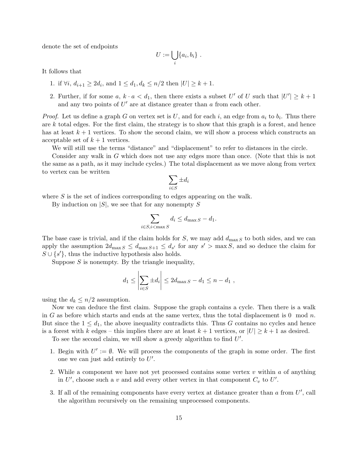denote the set of endpoints

$$
U:=\bigcup_i\{a_i,b_i\} .
$$

It follows that

- 1. if  $\forall i, d_{i+1} \geq 2d_i$ , and  $1 \leq d_1, d_k \leq n/2$  then  $|U| \geq k+1$ .
- 2. Further, if for some  $a, k \cdot a < d_1$ , then there exists a subset U' of U such that  $|U'| \geq k+1$ and any two points of  $U'$  are at distance greater than  $a$  from each other.

*Proof.* Let us define a graph G on vertex set is U, and for each i, an edge from  $a_i$  to  $b_i$ . Thus there are  $k$  total edges. For the first claim, the strategy is to show that this graph is a forest, and hence has at least  $k + 1$  vertices. To show the second claim, we will show a process which constructs an acceptable set of  $k + 1$  vertices.

We will still use the terms "distance" and "displacement" to refer to distances in the circle.

Consider any walk in G which does not use any edges more than once. (Note that this is not the same as a path, as it may include cycles.) The total displacement as we move along from vertex to vertex can be written

$$
\sum_{i\in S} \pm d_i
$$

where S is the set of indices corresponding to edges appearing on the walk.

By induction on  $|S|$ , we see that for any nonempty S

$$
\sum_{i \in S, i < \max S} d_i \le d_{\max S} - d_1.
$$

The base case is trivial, and if the claim holds for S, we may add  $d_{\text{max}} s$  to both sides, and we can apply the assumption  $2d_{\max S} \leq d_{\max S+1} \leq d_{s'}$  for any  $s' > \max S$ , and so deduce the claim for  $S \cup \{s'\}$ , thus the inductive hypothesis also holds.

Suppose  $S$  is nonempty. By the triangle inequality,

$$
d_1 \le \left| \sum_{i \in S} \pm d_i \right| \le 2d_{\max S} - d_1 \le n - d_1,
$$

using the  $d_k \leq n/2$  assumption.

Now we can deduce the first claim. Suppose the graph contains a cycle. Then there is a walk in G as before which starts and ends at the same vertex, thus the total displacement is 0 mod n. But since the  $1 \leq d_1$ , the above inequality contradicts this. Thus G contains no cycles and hence is a forest with k edges – this implies there are at least  $k + 1$  vertices, or  $|U| \geq k + 1$  as desired.

To see the second claim, we will show a greedy algorithm to find  $U'$ .

- 1. Begin with  $U' := \emptyset$ . We will process the components of the graph in some order. The first one we can just add entirely to  $U'$ .
- 2. While a component we have not yet processed contains some vertex  $v$  within  $a$  of anything in  $U'$ , choose such a v and add every other vertex in that component  $C_v$  to  $U'$ .
- 3. If all of the remaining components have every vertex at distance greater than  $a$  from  $U'$ , call the algorithm recursively on the remaining unprocessed components.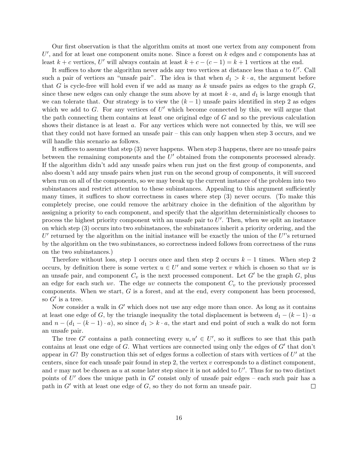Our first observation is that the algorithm omits at most one vertex from any component from  $U'$ , and for at least one component omits none. Since a forest on  $k$  edges and  $c$  components has at least  $k + c$  vertices, U' will always contain at least  $k + c - (c - 1) = k + 1$  vertices at the end.

It suffices to show the algorithm never adds any two vertices at distance less than  $a$  to  $U'$ . Call such a pair of vertices an "unsafe pair". The idea is that when  $d_1 > k \cdot a$ , the argument before that G is cycle-free will hold even if we add as many as k unsafe pairs as edges to the graph  $G$ . since these new edges can only change the sum above by at most  $k \cdot a$ , and  $d_1$  is large enough that we can tolerate that. Our strategy is to view the  $(k-1)$  unsafe pairs identified in step 2 as edges which we add to  $G$ . For any vertices of  $U'$  which become connected by this, we will argue that the path connecting them contains at least one original edge of G and so the previous calculation shows their distance is at least a. For any vertices which were not connected by this, we will see that they could not have formed an unsafe pair – this can only happen when step 3 occurs, and we will handle this scenario as follows.

It suffices to assume that step (3) never happens. When step 3 happens, there are no unsafe pairs between the remaining components and the  $U'$  obtained from the components processed already. If the algorithm didn't add any unsafe pairs when run just on the first group of components, and also doesn't add any unsafe pairs when just run on the second group of components, it will succeed when run on all of the components, so we may break up the current instance of the problem into two subinstances and restrict attention to these subinstances. Appealing to this argument sufficiently many times, it suffices to show correctness in cases where step (3) never occurs. (To make this completely precise, one could remove the arbitrary choice in the definition of the algorithm by assigning a priority to each component, and specify that the algorithm deterministically chooses to process the highest priority component with an unsafe pair to  $U'$ . Then, when we split an instance on which step (3) occurs into two subinstances, the subinstances inherit a priority ordering, and the  $U'$  returned by the algorithm on the initial instance will be exactly the union of the  $U'$ 's returned by the algorithm on the two subinstances, so correctness indeed follows from correctness of the runs on the two subinstances.)

Therefore without loss, step 1 occurs once and then step 2 occurs  $k-1$  times. When step 2 occurs, by definition there is some vertex  $u \in U'$  and some vertex v which is chosen so that uv is an unsafe pair, and component  $C_v$  is the next processed component. Let G' be the graph G, plus an edge for each such uv. The edge uv connects the component  $C_v$  to the previously processed components. When we start,  $G$  is a forest, and at the end, every component has been processed, so  $G'$  is a tree.

Now consider a walk in  $G'$  which does not use any edge more than once. As long as it contains at least one edge of G, by the triangle inequality the total displacement is between  $d_1 - (k-1) \cdot a$ and  $n - (d_1 - (k-1) \cdot a)$ , so since  $d_1 > k \cdot a$ , the start and end point of such a walk do not form an unsafe pair.

The tree G' contains a path connecting every  $u, u' \in U'$ , so it suffices to see that this path contains at least one edge of  $G$ . What vertices are connected using only the edges of  $G'$  that don't appear in  $G$ ? By construction this set of edges forms a collection of stars with vertices of  $U'$  at the centers, since for each unsafe pair found in step 2, the vertex  $v$  corresponds to a distinct component, and v may not be chosen as u at some later step since it is not added to  $U'$ . Thus for no two distinct points of U' does the unique path in G' consist only of unsafe pair edges – each such pair has a path in  $G'$  with at least one edge of  $G$ , so they do not form an unsafe pair.  $\Box$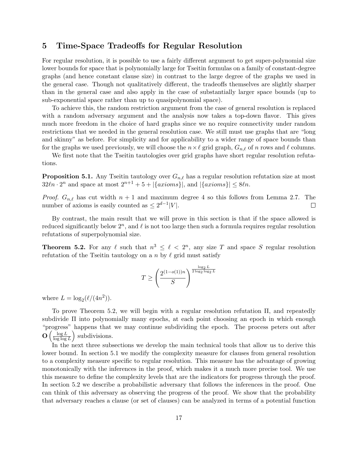## 5 Time-Space Tradeoffs for Regular Resolution

For regular resolution, it is possible to use a fairly different argument to get super-polynomial size lower bounds for space that is polynomially large for Tseitin formulas on a family of constant-degree graphs (and hence constant clause size) in contrast to the large degree of the graphs we used in the general case. Though not qualitatively different, the tradeoffs themselves are slightly sharper than in the general case and also apply in the case of substantially larger space bounds (up to sub-exponential space rather than up to quasipolynomial space).

To achieve this, the random restriction argument from the case of general resolution is replaced with a random adversary argument and the analysis now takes a top-down flavor. This gives much more freedom in the choice of hard graphs since we no require connectivity under random restrictions that we needed in the general resolution case. We still must use graphs that are "long and skinny" as before. For simplicity and for applicability to a wider range of space bounds than for the graphs we used previously, we will choose the  $n \times \ell$  grid graph,  $G_{n,\ell}$  of n rows and  $\ell$  columns.

We first note that the Tseitin tautologies over grid graphs have short regular resolution refutations.

**Proposition 5.1.** Any Tseitin tautology over  $G_{n,\ell}$  has a regular resolution refutation size at most  $32\ell n \cdot 2^n$  and space at most  $2^{n+1} + 5 + |\{axioms\}|$ , and  $|\{axioms\}| \leq 8\ell n$ .

*Proof.*  $G_{n,\ell}$  has cut width  $n + 1$  and maximum degree 4 so this follows from Lemma 2.7. The number of axioms is easily counted as  $\leq 2^{d-1}|V|$ .  $\Box$ 

By contrast, the main result that we will prove in this section is that if the space allowed is reduced significantly below  $2^n$ , and  $\ell$  is not too large then such a formula requires regular resolution refutations of superpolynomial size.

**Theorem 5.2.** For any  $\ell$  such that  $n^3 \leq \ell < 2^n$ , any size T and space S regular resolution refutation of the Tseitin tautology on a n by  $\ell$  grid must satisfy

$$
T \ge \left(\frac{2^{(1-o(1))n}}{S}\right)^{\frac{\log_2 L}{2 \log_2 \log_2 L}}
$$

where  $L = \log_2(\ell/(4n^2))$ .

To prove Theorem 5.2, we will begin with a regular resolution refutation Π, and repeatedly subdivide Π into polynomially many epochs, at each point choosing an epoch in which enough "progress" happens that we may continue subdividing the epoch. The process peters out after  $\mathbf{O} \left( \frac{\log L}{\log \log L} \right)$  $\frac{\log L}{\log \log L}$  subdivisions.

In the next three subsections we develop the main technical tools that allow us to derive this lower bound. In section 5.1 we modify the complexity measure for clauses from general resolution to a complexity measure specific to regular resolution. This measure has the advantage of growing monotonically with the inferences in the proof, which makes it a much more precise tool. We use this measure to define the complexity levels that are the indicators for progress through the proof. In section 5.2 we describe a probabilistic adversary that follows the inferences in the proof. One can think of this adversary as observing the progress of the proof. We show that the probability that adversary reaches a clause (or set of clauses) can be analyzed in terms of a potential function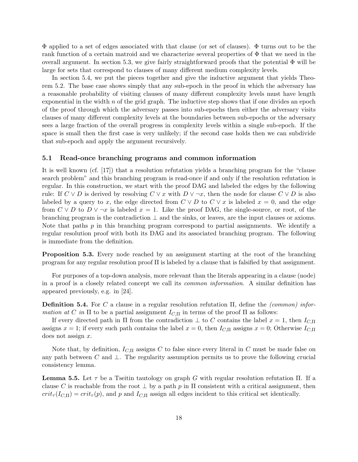$\Phi$  applied to a set of edges associated with that clause (or set of clauses).  $\Phi$  turns out to be the rank function of a certain matroid and we characterize several properties of  $\Phi$  that we need in the overall argument. In section 5.3, we give fairly straightforward proofs that the potential  $\Phi$  will be large for sets that correspond to clauses of many different medium complexity levels.

In section 5.4, we put the pieces together and give the inductive argument that yields Theorem 5.2. The base case shows simply that any sub-epoch in the proof in which the adversary has a reasonable probability of visiting clauses of many different complexity levels must have length exponential in the width  $n$  of the grid graph. The inductive step shows that if one divides an epoch of the proof through which the adversary passes into sub-epochs then either the adversary visits clauses of many different complexity levels at the boundaries between sub-epochs or the adversary sees a large fraction of the overall progress in complexity levels within a single sub-epoch. If the space is small then the first case is very unlikely; if the second case holds then we can subdivide that sub-epoch and apply the argument recursively.

#### 5.1 Read-once branching programs and common information

It is well known (cf. [17]) that a resolution refutation yields a branching program for the "clause search problem" and this branching program is read-once if and only if the resolution refutation is regular. In this construction, we start with the proof DAG and labeled the edges by the following rule: If  $C \vee D$  is derived by resolving  $C \vee x$  with  $D \vee \neg x$ , then the node for clause  $C \vee D$  is also labeled by a query to x, the edge directed from  $C \vee D$  to  $C \vee x$  is labeled  $x = 0$ , and the edge from  $C \vee D$  to  $D \vee \neg x$  is labeled  $x = 1$ . Like the proof DAG, the single-source, or root, of the branching program is the contradiction ⊥ and the sinks, or leaves, are the input clauses or axioms. Note that paths  $p$  in this branching program correspond to partial assignments. We identify a regular resolution proof with both its DAG and its associated branching program. The following is immediate from the definition.

Proposition 5.3. Every node reached by an assignment starting at the root of the branching program for any regular resolution proof Π is labeled by a clause that is falsified by that assignment.

For purposes of a top-down analysis, more relevant than the literals appearing in a clause (node) in a proof is a closely related concept we call its common information. A similar definition has appeared previously, e.g. in [24].

**Definition 5.4.** For C a clause in a regular resolution refutation  $\Pi$ , define the *(common)* information at C in  $\Pi$  to be a partial assignment  $I_{C,\Pi}$  in terms of the proof  $\Pi$  as follows:

If every directed path in  $\Pi$  from the contradiction  $\bot$  to C contains the label  $x = 1$ , then  $I_{C,\Pi}$ assigns  $x = 1$ ; if every such path contains the label  $x = 0$ , then  $I_{C,\Pi}$  assigns  $x = 0$ ; Otherwise  $I_{C,\Pi}$ does not assign x.

Note that, by definition,  $I_{C,\Pi}$  assigns C to false since every literal in C must be made false on any path between C and  $\perp$ . The regularity assumption permits us to prove the following crucial consistency lemma.

**Lemma 5.5.** Let  $\tau$  be a Tseitin tautology on graph G with regular resolution refutation  $\Pi$ . If a clause C is reachable from the root  $\perp$  by a path p in  $\Pi$  consistent with a critical assignment, then  $crit_{\tau}(I_{C,\Pi}) = crit_{\tau}(p)$ , and p and  $I_{C,\Pi}$  assign all edges incident to this critical set identically.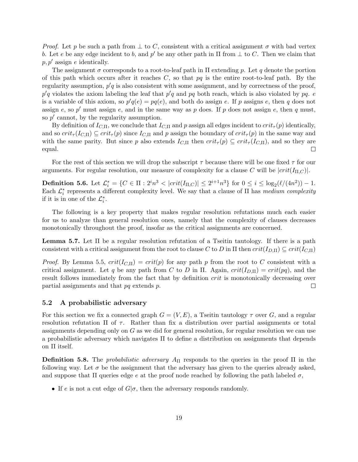*Proof.* Let p be such a path from  $\perp$  to C, consistent with a critical assignment  $\sigma$  with bad vertex b. Let e be any edge incident to b, and p' be any other path in  $\Pi$  from  $\bot$  to C. Then we claim that  $p, p'$  assign e identically.

The assignment  $\sigma$  corresponds to a root-to-leaf path in  $\Pi$  extending p. Let q denote the portion of this path which occurs after it reaches  $C$ , so that  $pq$  is the entire root-to-leaf path. By the regularity assumption,  $p'q$  is also consistent with some assignment, and by correctness of the proof,  $p'q$  violates the axiom labeling the leaf that  $p'q$  and  $pq$  both reach, which is also violated by  $pq$ . e is a variable of this axiom, so  $p'q(e) = pq(e)$ , and both do assign e. If p assigns e, then q does not assign e, so p' must assign e, and in the same way as p does. If p does not assign e, then q must, so  $p'$  cannot, by the regularity assumption.

By definition of  $I_{C,\Pi}$ , we conclude that  $I_{C,\Pi}$  and p assign all edges incident to  $crit_{\tau}(p)$  identically, and so  $crit_\tau(I_{C,\Pi}) \subseteq crit_\tau(p)$  since  $I_{C,\Pi}$  and p assign the boundary of  $crit_\tau(p)$  in the same way and with the same parity. But since p also extends  $I_{C,\Pi}$  then  $crit_{\tau}(p) \subseteq crit_{\tau}(I_{C,\Pi})$ , and so they are equal.  $\Box$ 

For the rest of this section we will drop the subscript  $\tau$  because there will be one fixed  $\tau$  for our arguments. For regular resolution, our measure of complexity for a clause C will be  $|crit(I_{\Pi,C})|$ .

**Definition 5.6.** Let  $\mathcal{L}_i^* = \{ C \in \Pi : 2^i n^3 < | crit(I_{\Pi,C}) | \leq 2^{i+1} n^3 \}$  for  $0 \leq i \leq \log_2(\ell/(4n^2)) - 1$ . Each  $\mathcal{L}_i^*$  represents a different complexity level. We say that a clause of  $\Pi$  has medium complexity if it is in one of the  $\mathcal{L}_i^*$ .

The following is a key property that makes regular resolution refutations much each easier for us to analyze than general resolution ones, namely that the complexity of clauses decreases monotonically throughout the proof, insofar as the critical assignments are concerned.

**Lemma 5.7.** Let  $\Pi$  be a regular resolution refutation of a Tseitin tautology. If there is a path consistent with a critical assignment from the root to clause C to D in  $\Pi$  then  $crit(I_{D,\Pi}) \subseteq crit(I_{C,\Pi})$ 

*Proof.* By Lemma 5.5,  $crit(I_{C,\Pi}) = crit(p)$  for any path p from the root to C consistent with a critical assignment. Let q be any path from C to D in  $\Pi$ . Again,  $crit(I_{D,\Pi}) = crit(pq)$ , and the result follows immediately from the fact that by definition *crit* is monotonically decreasing over partial assignments and that pq extends p.  $\Box$ 

#### 5.2 A probabilistic adversary

For this section we fix a connected graph  $G = (V, E)$ , a Tseitin tautology  $\tau$  over G, and a regular resolution refutation  $\Pi$  of  $\tau$ . Rather than fix a distribution over partial assignments or total assignments depending only on G as we did for general resolution, for regular resolution we can use a probabilistic adversary which navigates Π to define a distribution on assignments that depends on Π itself.

**Definition 5.8.** The *probabilistic adversary*  $A_{\Pi}$  responds to the queries in the proof  $\Pi$  in the following way. Let  $\sigma$  be the assignment that the adversary has given to the queries already asked, and suppose that  $\Pi$  queries edge e at the proof node reached by following the path labeled  $\sigma$ ,

• If  $e$  is not a cut edge of  $G|\sigma$ , then the adversary responds randomly.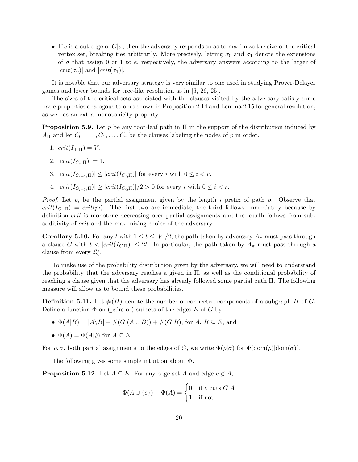• If e is a cut edge of  $G|\sigma$ , then the adversary responds so as to maximize the size of the critical vertex set, breaking ties arbitrarily. More precisely, letting  $\sigma_0$  and  $\sigma_1$  denote the extensions of  $\sigma$  that assign 0 or 1 to e, respectively, the adversary answers according to the larger of  $|crit(\sigma_0)|$  and  $|crit(\sigma_1)|$ .

It is notable that our adversary strategy is very similar to one used in studying Prover-Delayer games and lower bounds for tree-like resolution as in [6, 26, 25].

The sizes of the critical sets associated with the clauses visited by the adversary satisfy some basic properties analogous to ones shown in Proposition 2.14 and Lemma 2.15 for general resolution, as well as an extra monotonicity property.

**Proposition 5.9.** Let p be any root-leaf path in  $\Pi$  in the support of the distribution induced by  $A_{\Pi}$  and let  $C_0 = \bot, C_1, \ldots, C_r$  be the clauses labeling the nodes of p in order.

- 1.  $crit(I_{\perp,\Pi})=V$ .
- 2.  $|crit(I_{C_{r}.\Pi})|=1.$
- 3.  $|crit(I_{C_{i+1},\Pi})| \leq |crit(I_{C_{i},\Pi})|$  for every i with  $0 \leq i < r$ .
- 4.  $|crit(I_{C_{i+1},\Pi})| \ge |crit(I_{C_{i},\Pi})|/2 > 0$  for every i with  $0 \le i < r$ .

*Proof.* Let  $p_i$  be the partial assignment given by the length i prefix of path p. Observe that  $crit(I_{C_i,\Pi}) = crit(p_i)$ . The first two are immediate, the third follows immediately because by definition crit is monotone decreasing over partial assignments and the fourth follows from subadditivity of crit and the maximizing choice of the adversary.  $\Box$ 

**Corollary 5.10.** For any t with  $1 \le t \le |V|/2$ , the path taken by adversary  $A_{\pi}$  must pass through a clause C with  $t < |crit(I_{C,\Pi})| \leq 2t$ . In particular, the path taken by  $A_{\pi}$  must pass through a clause from every  $\mathcal{L}_i^*$ .

To make use of the probability distribution given by the adversary, we will need to understand the probability that the adversary reaches a given in Π, as well as the conditional probability of reaching a clause given that the adversary has already followed some partial path Π. The following measure will allow us to bound these probabilities.

**Definition 5.11.** Let  $\#(H)$  denote the number of connected components of a subgraph H of G. Define a function  $\Phi$  on (pairs of) subsets of the edges E of G by

- $\Phi(A|B) = |A \setminus B| \#(G|(A \cup B)) + \#(G|B)$ , for  $A, B \subseteq E$ , and
- $\Phi(A) = \Phi(A|\emptyset)$  for  $A \subseteq E$ .

For  $\rho, \sigma$ , both partial assignments to the edges of G, we write  $\Phi(\rho|\sigma)$  for  $\Phi(\text{dom}(\rho)|\text{dom}(\sigma))$ .

The following gives some simple intuition about Φ.

**Proposition 5.12.** Let  $A \subseteq E$ . For any edge set A and edge  $e \notin A$ ,

$$
\Phi(A \cup \{e\}) - \Phi(A) = \begin{cases} 0 & \text{if } e \text{ cuts } G | A \\ 1 & \text{if not.} \end{cases}
$$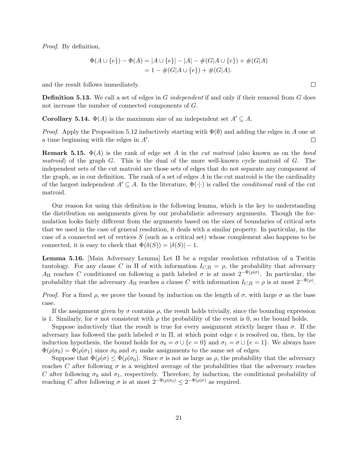Proof. By definition,

$$
\Phi(A \cup \{e\}) - \Phi(A) = |A \cup \{e\}| - |A| - \#(G|A \cup \{e\}) + \#(G|A)
$$
  
= 1 - \#(G|A \cup \{e\}) + \#(G|A).

and the result follows immediately.

**Definition 5.13.** We call a set of edges in G independent if and only if their removal from G does not increase the number of connected components of G.

**Corollary 5.14.**  $\Phi(A)$  is the maximum size of an independent set  $A' \subseteq A$ .

*Proof.* Apply the Proposition 5.12 inductively starting with  $\Phi(\emptyset)$  and adding the edges in A one at a time beginning with the edges in  $A'$ .  $\Box$ 

**Remark 5.15.**  $\Phi(A)$  is the rank of edge set A in the *cut matroid* (also known as on the bond matroid) of the graph  $G$ . This is the dual of the more well-known cycle matroid of  $G$ . The independent sets of the cut matroid are those sets of edges that do not separate any component of the graph, as in our definition. The rank of a set of edges  $A$  in the cut matroid is the the cardinality of the largest independent  $A' \subseteq A$ . In the literature,  $\Phi(\cdot|\cdot)$  is called the *conditional rank* of the cut matroid.

Our reason for using this definition is the following lemma, which is the key to understanding the distribution on assignments given by our probabilistic adversary arguments. Though the formulation looks fairly different from the arguments based on the sizes of boundaries of critical sets that we used in the case of general resolution, it deals with a similar property. In particular, in the case of a connected set of vertices S (such as a critical set) whose complement also happens to be connected, it is easy to check that  $\Phi(\delta(S)) = |\delta(S)| - 1$ .

**Lemma 5.16.** [Main Adversary Lemma] Let Π be a regular resolution refutation of a Tseitin tautology. For any clause C in  $\Pi$  of with information  $I_{C,\Pi} = \rho$ , the probability that adversary  $A_{\Pi}$  reaches C conditioned on following a path labeled  $\sigma$  is at most  $2^{-\Phi(\rho|\sigma)}$ . In particular, the probability that the adversary  $A_{\Pi}$  reaches a clause C with information  $I_{C,\Pi} = \rho$  is at most  $2^{-\Phi(\rho)}$ .

*Proof.* For a fixed  $\rho$ , we prove the bound by induction on the length of  $\sigma$ , with large  $\sigma$  as the base case.

If the assignment given by  $\sigma$  contains  $\rho$ , the result holds trivially, since the bounding expression is 1. Similarly, for  $\sigma$  not consistent with  $\rho$  the probability of the event is 0, so the bound holds.

Suppose inductively that the result is true for every assignment strictly larger than  $\sigma$ . If the adversary has followed the path labeled  $\sigma$  in  $\Pi$ , at which point edge e is resolved on, then, by the induction hypothesis, the bound holds for  $\sigma_0 = \sigma \cup \{e = 0\}$  and  $\sigma_1 = \sigma \cup \{e = 1\}$ . We always have  $\Phi(\rho|\sigma_0) = \Phi(\rho|\sigma_1)$  since  $\sigma_0$  and  $\sigma_1$  make assignments to the same set of edges.

Suppose that  $\Phi(\rho|\sigma) \leq \Phi(\rho|\sigma_0)$ . Since  $\sigma$  is not as large as  $\rho$ , the probability that the adversary reaches C after following  $\sigma$  is a weighted average of the probabilities that the adversary reaches C after following  $\sigma_0$  and  $\sigma_1$ , respectively. Therefore, by induction, the conditional probability of reaching C after following  $\sigma$  is at most  $2^{-\Phi(\rho|\sigma)} \leq 2^{-\Phi(\rho|\sigma)}$  as required.

 $\Box$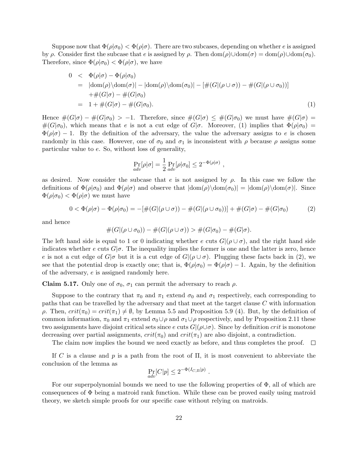Suppose now that  $\Phi(\rho|\sigma_0) < \Phi(\rho|\sigma)$ . There are two subcases, depending on whether e is assigned by ρ. Consider first the subcase that e is assigned by ρ. Then  $\text{dom}(\rho) \cup \text{dom}(\sigma) = \text{dom}(\rho) \cup \text{dom}(\sigma_0)$ . Therefore, since  $\Phi(\rho|\sigma_0) < \Phi(\rho|\sigma)$ , we have

$$
0 < \Phi(\rho|\sigma) - \Phi(\rho|\sigma_0)
$$
  
\n
$$
= |\text{dom}(\rho) \backslash \text{dom}(\sigma)| - |\text{dom}(\rho) \backslash \text{dom}(\sigma_0)| - [\#(G|(\rho \cup \sigma)) - \#(G|(\rho \cup \sigma_0))]
$$
  
\n
$$
+ \#(G|\sigma) - \#(G|\sigma_0)
$$
  
\n
$$
= 1 + \#(G|\sigma) - \#(G|\sigma_0).
$$
\n(1)

Hence  $\#(G|\sigma) - \#(G|\sigma_0) > -1$ . Therefore, since  $\#(G|\sigma) \leq \#(G|\sigma_0)$  we must have  $\#(G|\sigma) =$  $\#(G|\sigma_0)$ , which means that e is not a cut edge of  $G|\sigma$ . Moreover, (1) implies that  $\Phi(\rho|\sigma_0)$  =  $\Phi(\rho|\sigma) - 1$ . By the definition of the adversary, the value the adversary assigns to e is chosen randomly in this case. However, one of  $\sigma_0$  and  $\sigma_1$  is inconsistent with  $\rho$  because  $\rho$  assigns some particular value to e. So, without loss of generality,

$$
\Pr_{adv}[\rho|\sigma] = \frac{1}{2} \Pr_{adv}[\rho|\sigma_0] \leq 2^{-\Phi(\rho|\sigma)},
$$

as desired. Now consider the subcase that e is not assigned by  $\rho$ . In this case we follow the definitions of  $\Phi(\rho|\sigma_0)$  and  $\Phi(\rho|\sigma)$  and observe that  $|\text{dom}(\rho)\text{dom}(\sigma_0)| = |\text{dom}(\rho)\text{dom}(\sigma)|$ . Since  $\Phi(\rho|\sigma_0) < \Phi(\rho|\sigma)$  we must have

$$
0 < \Phi(\rho|\sigma) - \Phi(\rho|\sigma_0) = -[\#(G|(\rho \cup \sigma)) - \#(G|(\rho \cup \sigma_0))] + \#(G|\sigma) - \#(G|\sigma_0)
$$
(2)

and hence

$$
#(G|(\rho \cup \sigma_0)) - #(G|(\rho \cup \sigma)) > #(G|\sigma_0) - #(G|\sigma).
$$

The left hand side is equal to 1 or 0 indicating whether e cuts  $G|(\rho \cup \sigma)$ , and the right hand side indicates whether e cuts  $G|\sigma$ . The inequality implies the former is one and the latter is zero, hence e is not a cut edge of  $G|\sigma$  but it is a cut edge of  $G|(\rho \cup \sigma)$ . Plugging these facts back in (2), we see that the potential drop is exactly one; that is,  $\Phi(\rho|\sigma_0) = \Phi(\rho|\sigma) - 1$ . Again, by the definition of the adversary, e is assigned randomly here.

**Claim 5.17.** Only one of  $\sigma_0$ ,  $\sigma_1$  can permit the adversary to reach  $\rho$ .

Suppose to the contrary that  $\pi_0$  and  $\pi_1$  extend  $\sigma_0$  and  $\sigma_1$  respectively, each corresponding to paths that can be travelled by the adversary and that meet at the target clause C with information ρ. Then,  $crit(\pi_0) = crit(\pi_1) \neq \emptyset$ , by Lemma 5.5 and Proposition 5.9 (4). But, by the definition of common information,  $\pi_0$  and  $\pi_1$  extend  $\sigma_0 \cup \rho$  and  $\sigma_1 \cup \rho$  respectively, and by Proposition 2.11 these two assignments have disjoint critical sets since e cuts  $G|(\rho \cup \sigma)$ . Since by definition crit is monotone decreasing over partial assignments,  $crit(\pi_0)$  and  $crit(\pi_1)$  are also disjoint, a contradiction.

The claim now implies the bound we need exactly as before, and thus completes the proof.  $\Box$ 

If C is a clause and p is a path from the root of  $\Pi$ , it is most convenient to abbreviate the conclusion of the lemma as

$$
\Pr_{adv}[C|p] \le 2^{-\Phi(I_{C,\Pi}|p)}.
$$

For our superpolynomial bounds we need to use the following properties of  $\Phi$ , all of which are consequences of  $\Phi$  being a matroid rank function. While these can be proved easily using matroid theory, we sketch simple proofs for our specific case without relying on matroids.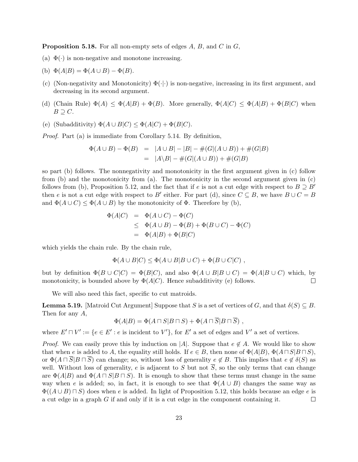**Proposition 5.18.** For all non-empty sets of edges  $A, B$ , and  $C$  in  $G$ ,

- (a)  $\Phi(\cdot)$  is non-negative and monotone increasing.
- (b)  $\Phi(A|B) = \Phi(A \cup B) \Phi(B)$ .
- (c) (Non-negativity and Monotonicity)  $\Phi(\cdot|\cdot)$  is non-negative, increasing in its first argument, and decreasing in its second argument.
- (d) (Chain Rule)  $\Phi(A) \leq \Phi(A|B) + \Phi(B)$ . More generally,  $\Phi(A|C) \leq \Phi(A|B) + \Phi(B|C)$  when  $B \supseteq C$ .
- (e) (Subadditivity)  $\Phi(A \cup B|C) \leq \Phi(A|C) + \Phi(B|C)$ .

Proof. Part (a) is immediate from Corollary 5.14. By definition,

$$
\Phi(A \cup B) - \Phi(B) = |A \cup B| - |B| - \#(G|(A \cup B)) + \#(G|B)
$$
  
=  $|A \setminus B| - \#(G|(A \cup B)) + \#(G|B)$ 

so part (b) follows. The nonnegativity and monotonicity in the first argument given in (c) follow from (b) and the monotonicity from (a). The monotonicity in the second argument given in (c) follows from (b), Proposition 5.12, and the fact that if e is not a cut edge with respect to  $B \supseteq B'$ then e is not a cut edge with respect to B' either. For part (d), since  $C \subseteq B$ , we have  $B \cup C = B$ and  $\Phi(A \cup C) \leq \Phi(A \cup B)$  by the monotonicity of  $\Phi$ . Therefore by (b),

$$
\Phi(A|C) = \Phi(A \cup C) - \Phi(C)
$$
  
\n
$$
\leq \Phi(A \cup B) - \Phi(B) + \Phi(B \cup C) - \Phi(C)
$$
  
\n
$$
= \Phi(A|B) + \Phi(B|C)
$$

which yields the chain rule. By the chain rule,

$$
\Phi(A \cup B|C) \le \Phi(A \cup B|B \cup C) + \Phi(B \cup C|C) ,
$$

but by definition  $\Phi(B \cup C|C) = \Phi(B|C)$ , and also  $\Phi(A \cup B|B \cup C) = \Phi(A|B \cup C)$  which, by monotonicity, is bounded above by  $\Phi(A|C)$ . Hence subadditivity (e) follows.  $\Box$ 

We will also need this fact, specific to cut matroids.

**Lemma 5.19.** [Matroid Cut Argument] Suppose that S is a set of vertices of G, and that  $\delta(S) \subseteq B$ . Then for any A,

$$
\Phi(A|B) = \Phi(A \sqcap S|B \sqcap S) + \Phi(A \sqcap \overline{S}|B \sqcap \overline{S}) ,
$$

where  $E' \cap V' := \{e \in E' : e \text{ is incident to } V'\}$ , for  $E'$  a set of edges and  $V'$  a set of vertices.

*Proof.* We can easily prove this by induction on |A|. Suppose that  $e \notin A$ . We would like to show that when e is added to A, the equality still holds. If  $e \in B$ , then none of  $\Phi(A|B)$ ,  $\Phi(A \cap S|B \cap S)$ , or  $\Phi(A \cap \overline{S} | B \cap \overline{S})$  can change; so, without loss of generality  $e \notin B$ . This implies that  $e \notin \delta(S)$  as well. Without loss of generality, e is adjacent to S but not  $\overline{S}$ , so the only terms that can change are  $\Phi(A|B)$  and  $\Phi(A \sqcap S|B \sqcap S)$ . It is enough to show that these terms must change in the same way when e is added; so, in fact, it is enough to see that  $\Phi(A \cup B)$  changes the same way as  $\Phi((A\cup B)\sqcap S)$  does when e is added. In light of Proposition 5.12, this holds because an edge e is a cut edge in a graph G if and only if it is a cut edge in the component containing it.  $\Box$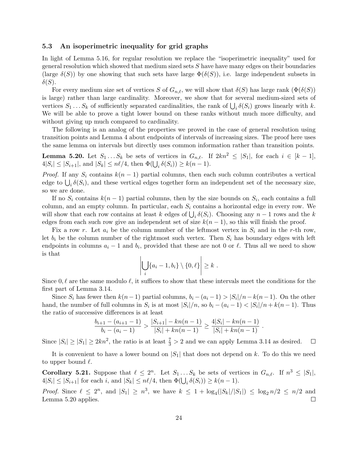### 5.3 An isoperimetric inequality for grid graphs

In light of Lemma 5.16, for regular resolution we replace the "isoperimetric inequality" used for general resolution which showed that medium sized sets  $S$  have have many edges on their boundaries (large  $\delta(S)$ ) by one showing that such sets have large  $\Phi(\delta(S))$ , i.e. large independent subsets in  $\delta(S)$ .

For every medium size set of vertices S of  $G_{n,\ell}$ , we will show that  $\delta(S)$  has large rank  $(\Phi(\delta(S)))$ is large) rather than large cardinality. Moreover, we show that for several medium-sized sets of vertices  $S_1 \dots S_k$  of sufficiently separated cardinalities, the rank of  $\bigcup_i \delta(S_i)$  grows linearly with k. We will be able to prove a tight lower bound on these ranks without much more difficulty, and without giving up much compared to cardinality.

The following is an analog of the properties we proved in the case of general resolution using transition points and Lemma 4 about endpoints of intervals of increasing sizes. The proof here uses the same lemma on intervals but directly uses common information rather than transition points.

**Lemma 5.20.** Let  $S_1 \ldots S_k$  be sets of vertices in  $G_{n,\ell}$ . If  $2kn^2 \leq |S_1|$ , for each  $i \in [k-1]$ ,  $4|S_i| \leq |S_{i+1}|$ , and  $|S_k| \leq n\ell/4$ , then  $\Phi(\bigcup_i \delta(S_i)) \geq k(n-1)$ .

*Proof.* If any  $S_i$  contains  $k(n-1)$  partial columns, then each such column contributes a vertical edge to  $\bigcup_i \delta(S_i)$ , and these vertical edges together form an independent set of the necessary size, so we are done.

If no  $S_i$  contains  $k(n-1)$  partial columns, then by the size bounds on  $S_i$ , each contains a full column, and an empty column. In particular, each  $S_i$  contains a horizontal edge in every row. We will show that each row contains at least k edges of  $\bigcup_i \delta(S_i)$ . Choosing any  $n-1$  rows and the k edges from each such row give an independent set of size  $k(n-1)$ , so this will finish the proof.

Fix a row r. Let  $a_i$  be the column number of the leftmost vertex in  $S_i$  and in the r-th row, let  $b_i$  be the column number of the rightmost such vertex. Then  $S_i$  has boundary edges with left endpoints in columns  $a_i - 1$  and  $b_i$ , provided that these are not 0 or  $\ell$ . Thus all we need to show is that

$$
\left|\bigcup_i \{a_i-1, b_i\} \setminus \{0, \ell\}\right| \geq k.
$$

Since  $0, \ell$  are the same modulo  $\ell$ , it suffices to show that these intervals meet the conditions for the first part of Lemma 3.14.

Since  $S_i$  has fewer then  $k(n-1)$  partial columns,  $b_i - (a_i - 1) > |S_i|/n - k(n-1)$ . On the other hand, the number of full columns in  $S_i$  is at most  $|S_i|/n$ , so  $b_i - (a_i - 1) < |S_i|/n + k(n - 1)$ . Thus the ratio of successive differences is at least

$$
\frac{b_{i+1} - (a_{i+1} - 1)}{b_i - (a_i - 1)} > \frac{|S_{i+1}| - kn(n-1)}{|S_i| + kn(n-1)} \ge \frac{4|S_i| - kn(n-1)}{|S_i| + kn(n-1)}.
$$

Since  $|S_i| \geq |S_1| \geq 2kn^2$ , the ratio is at least  $\frac{7}{3} > 2$  and we can apply Lemma 3.14 as desired.  $\Box$ 

It is convenient to have a lower bound on  $|S_1|$  that does not depend on k. To do this we need to upper bound  $\ell$ .

**Corollary 5.21.** Suppose that  $\ell \leq 2^n$ . Let  $S_1 \ldots S_k$  be sets of vertices in  $G_{n,\ell}$ . If  $n^3 \leq |S_1|$ ,  $4|S_i| \leq |S_{i+1}|$  for each i, and  $|S_k| \leq n\ell/4$ , then  $\Phi(\bigcup_i \delta(S_i)) \geq k(n-1)$ .

*Proof.* Since  $\ell \leq 2^n$ , and  $|S_1| \geq n^3$ , we have  $k \leq 1 + \log_4(|S_k|/|S_1|) \leq \log_2 n/2 \leq n/2$  and Lemma 5.20 applies.  $\Box$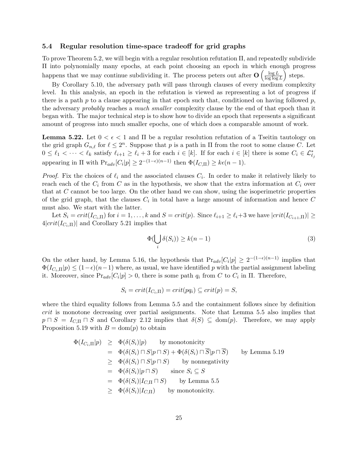### 5.4 Regular resolution time-space tradeoff for grid graphs

To prove Theorem 5.2, we will begin with a regular resolution refutation Π, and repeatedly subdivide Π into polynomially many epochs, at each point choosing an epoch in which enough progress happens that we may continue subdividing it. The process peters out after  $O\left(\frac{\log L}{\log \log \epsilon}\right)$  $\frac{\log L}{\log \log L}$  steps.

By Corollary 5.10, the adversary path will pass through clauses of every medium complexity level. In this analysis, an epoch in the refutation is viewed as representing a lot of progress if there is a path  $p$  to a clause appearing in that epoch such that, conditioned on having followed  $p$ , the adversary probably reaches a much smaller complexity clause by the end of that epoch than it began with. The major technical step is to show how to divide an epoch that represents a significant amount of progress into much smaller epochs, one of which does a comparable amount of work.

**Lemma 5.22.** Let  $0 < \epsilon < 1$  and  $\Pi$  be a regular resolution refutation of a Tseitin tautology on the grid graph  $G_{n,\ell}$  for  $\ell \leq 2^n$ . Suppose that p is a path in  $\Pi$  from the root to some clause C. Let  $0 \leq \ell_1 < \cdots < \ell_k$  satisfy  $\ell_{i+1} \geq \ell_i + 3$  for each  $i \in [k]$ . If for each  $i \in [k]$  there is some  $C_i \in \mathcal{L}_{\ell_j}^*$ appearing in  $\Pi$  with  $Pr_{adv}[C_i|p] \geq 2^{-(1-\epsilon)(n-1)}$  then  $\Phi(I_{C,\Pi}) \geq k\epsilon(n-1)$ .

*Proof.* Fix the choices of  $\ell_i$  and the associated clauses  $C_i$ . In order to make it relatively likely to reach each of the  $C_i$  from C as in the hypothesis, we show that the extra information at  $C_i$  over that at  $C$  cannot be too large. On the other hand we can show, using the isoperimetric properties of the grid graph, that the clauses  $C_i$  in total have a large amount of information and hence C must also. We start with the latter.

Let  $S_i = crit(I_{C_i,\Pi})$  for  $i = 1, \ldots, k$  and  $S = crit(p)$ . Since  $\ell_{i+1} \geq \ell_i+3$  we have  $|crit(I_{C_{i+1},\Pi})| \geq$  $4|crit(I_{C_i,\Pi})|$  and Corollary 5.21 implies that

$$
\Phi(\bigcup_{i} \delta(S_i)) \ge k(n-1)
$$
\n(3)

On the other hand, by Lemma 5.16, the hypothesis that  $Pr_{adv}[C_i|p] \geq 2^{-(1-\epsilon)(n-1)}$  implies that  $\Phi(I_{C_i,\Pi}|p) \leq (1-\epsilon)(n-1)$  where, as usual, we have identified p with the partial assignment labeling it. Moreover, since  $Pr_{adv}[C_i|p] > 0$ , there is some path  $q_i$  from C to  $C_i$  in  $\Pi$ . Therefore,

$$
S_i = crit(I_{C_i, \Pi}) = crit(pq_i) \subseteq crit(p) = S,
$$

where the third equality follows from Lemma 5.5 and the containment follows since by definition crit is monotone decreasing over partial assignments. Note that Lemma 5.5 also implies that  $p \cap S = I_{C,\Pi} \cap S$  and Corollary 2.12 implies that  $\delta(S) \subseteq \text{dom}(p)$ . Therefore, we may apply Proposition 5.19 with  $B = \text{dom}(p)$  to obtain

$$
\Phi(I_{C_i,\Pi}|p) \geq \Phi(\delta(S_i)|p) \quad \text{by monotonicity}
$$
\n
$$
= \Phi(\delta(S_i) \sqcap S|p \sqcap S) + \Phi(\delta(S_i) \sqcap \overline{S}|p \sqcap \overline{S}) \quad \text{by Lemma 5.19}
$$
\n
$$
\geq \Phi(\delta(S_i) \sqcap S|p \sqcap S) \quad \text{by nonnegativity}
$$
\n
$$
= \Phi(\delta(S_i)|p \sqcap S) \quad \text{since } S_i \subseteq S
$$
\n
$$
= \Phi(\delta(S_i)|I_{C,\Pi} \sqcap S) \quad \text{by Lemma 5.5}
$$
\n
$$
\geq \Phi(\delta(S_i)|I_{C,\Pi}) \quad \text{by monotonicity.}
$$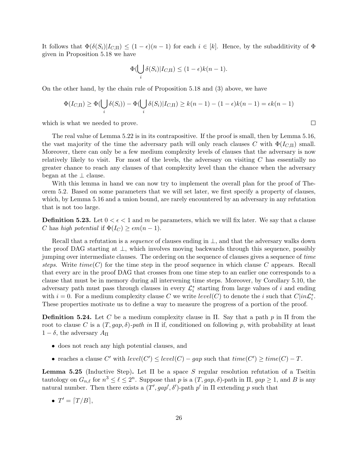It follows that  $\Phi(\delta(S_i)|I_{C,\Pi}) \leq (1-\epsilon)(n-1)$  for each  $i \in [k]$ . Hence, by the subadditivity of  $\Phi$ given in Proposition 5.18 we have

$$
\Phi(\bigcup_i \delta(S_i)|I_{C,\Pi}) \le (1-\epsilon)k(n-1).
$$

On the other hand, by the chain rule of Proposition 5.18 and (3) above, we have

$$
\Phi(I_{C,\Pi}) \ge \Phi(\bigcup_i \delta(S_i)) - \Phi(\bigcup_i \delta(S_i)|I_{C,\Pi}) \ge k(n-1) - (1-\epsilon)k(n-1) = \epsilon k(n-1)
$$

which is what we needed to prove.

The real value of Lemma 5.22 is in its contrapositive. If the proof is small, then by Lemma 5.16, the vast majority of the time the adversary path will only reach clauses C with  $\Phi(I_{C,\Pi})$  small. Moreover, there can only be a few medium complexity levels of clauses that the adversary is now relatively likely to visit. For most of the levels, the adversary on visiting  $C$  has essentially no greater chance to reach any clauses of that complexity level than the chance when the adversary began at the  $\perp$  clause.

With this lemma in hand we can now try to implement the overall plan for the proof of Theorem 5.2. Based on some parameters that we will set later, we first specify a property of clauses, which, by Lemma 5.16 and a union bound, are rarely encountered by an adversary in any refutation that is not too large.

**Definition 5.23.** Let  $0 < \epsilon < 1$  and m be parameters, which we will fix later. We say that a clause C has high potential if  $\Phi(I_C) \geq \epsilon m(n-1)$ .

Recall that a refutation is a *sequence* of clauses ending in  $\perp$ , and that the adversary walks down the proof DAG starting at ⊥, which involves moving backwards through this sequence, possibly jumping over intermediate clauses. The ordering on the sequence of clauses gives a sequence of time steps. Write  $time(C)$  for the time step in the proof sequence in which clause C appears. Recall that every arc in the proof DAG that crosses from one time step to an earlier one corresponds to a clause that must be in memory during all intervening time steps. Moreover, by Corollary 5.10, the adversary path must pass through clauses in every  $\mathcal{L}_i^*$  starting from large values of i and ending with  $i = 0$ . For a medium complexity clause C we write  $level(C)$  to denote the i such that  $C|in\mathcal{L}_i^*$ . These properties motivate us to define a way to measure the progress of a portion of the proof.

**Definition 5.24.** Let C be a medium complexity clause in  $\Pi$ . Say that a path p in  $\Pi$  from the root to clause C is a  $(T, gap, \delta)$ -path in  $\Pi$  if, conditioned on following p, with probability at least  $1 - \delta$ , the adversary  $A_{\Pi}$ 

- does not reach any high potential clauses, and
- reaches a clause C' with  $level(C') \le level(C) gap$  such that  $time(C') \ge time(C) T$ .

**Lemma 5.25** (Inductive Step). Let Π be a space S regular resolution refutation of a Tseitin tautology on  $G_{n,\ell}$  for  $n^3 \leq \ell \leq 2^n$ . Suppose that p is a  $(T, gap, \delta)$ -path in  $\Pi$ ,  $gap \geq 1$ , and B is any natural number. Then there exists a  $(T', gap', \delta')$ -path p' in  $\Pi$  extending p such that

•  $T' = \lceil T/B \rceil$ ,

 $\Box$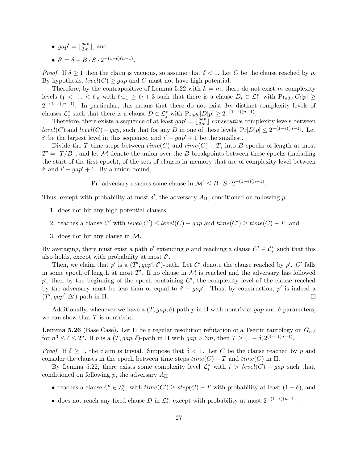- $gap' = \frac{gap}{3m}$  $\frac{gap}{3m}$ , and
- $\delta' = \delta + B \cdot S \cdot 2^{-(1-\epsilon)(n-1)}$ .

*Proof.* If  $\delta \geq 1$  then the claim is vacuous, so assume that  $\delta < 1$ . Let C be the clause reached by p. By hypothesis,  $level(C) \geq gap$  and C must not have high potential.

Therefore, by the contrapositive of Lemma 5.22 with  $k = m$ , there do not exist m complexity levels  $\ell_1 < \ldots < \ell_m$  with  $\ell_{i+1} \geq \ell_i + 3$  such that there is a clause  $D_i \in \mathcal{L}_{\ell_i}^*$  with  $Pr_{adv}[C_i|p] \geq$  $2^{-(1-\epsilon)(n-1)}$ . In particular, this means that there do not exist 3m distinct complexity levels of clauses  $\mathcal{L}_j^*$  such that there is a clause  $D \in \mathcal{L}_j^*$  with  $Pr_{adv}[D|p] \geq 2^{-(1-\epsilon)(n-1)}$ .

Therefore, there exists a sequence of at least  $gap' = \frac{gap}{3m}$  $\frac{gap}{3m}$  consecutive complexity levels between  $level(C)$  and  $level(C) - gap$ , such that for any D in one of these levels,  $Pr[D|p] \leq 2^{-(1-\epsilon)(n-1)}$ . Let i' be the largest level in this sequence, and  $i' - gap' + 1$  be the smallest.

Divide the T time steps between  $time(C)$  and  $time(C) - T$ , into B epochs of length at most  $T' = [T/B]$ , and let M denote the union over the B breakpoints between these epochs (including the start of the first epoch), of the sets of clauses in memory that are of complexity level between  $i'$  and  $i' - gap' + 1$ . By a union bound,

Pr[ adversary reaches some clause in  $\mathcal{M} \leq B \cdot S \cdot 2^{-(1-\epsilon)(n-1)}$ .

Thus, except with probability at most  $\delta'$ , the adversary  $A_{\Pi}$ , conditioned on following p,

- 1. does not hit any high potential clauses,
- 2. reaches a clause C' with  $level(C') \le level(C) gap$  and  $time(C') \ge time(C) T$ , and
- 3. does not hit any clause in M.

By averaging, there must exist a path  $p'$  extending p and reaching a clause  $C' \in \mathcal{L}_{i'}^*$  such that this also holds, except with probability at most  $\delta'$ .

Then, we claim that p' is a  $(T', gap', \delta')$ -path. Let C' denote the clause reached by p'. C' falls in some epoch of length at most  $T'$ . If no clause in  $\mathcal M$  is reached and the adversary has followed  $p'$ , then by the beginning of the epoch containing  $C'$ , the complexity level of the clause reached by the adversary must be less than or equal to  $i' - gap'$ . Thus, by construction, p' is indeed a  $(T', gap', \Delta')$ -path in  $\Pi$ .  $\Box$ 

Additionally, whenever we have a  $(T, gap, \delta)$ -path p in  $\Pi$  with nontrivial gap and  $\delta$  parameters, we can show that  $T$  is nontrivial.

**Lemma 5.26** (Base Case). Let  $\Pi$  be a regular resolution refutation of a Tseitin tautology on  $G_{n,\ell}$ for  $n^3 \leq \ell \leq 2^n$ . If p is a  $(T, gap, \delta)$ -path in  $\Pi$  with  $gap > 3m$ , then  $T \geq (1 - \delta)2^{(1 - \epsilon)(n-1)}$ .

*Proof.* If  $\delta \geq 1$ , the claim is trivial. Suppose that  $\delta < 1$ . Let C be the clause reached by p and consider the clauses in the epoch between time steps  $time(C) - T$  and  $time(C)$  in  $\Pi$ .

By Lemma 5.22, there exists some complexity level  $\mathcal{L}_i^*$  with  $i > level(C) - gap$  such that, conditioned on following p, the adversary  $A_{\Pi}$ 

- reaches a clause  $C' \in \mathcal{L}_i^*$ , with  $time(C') \geq step(C) T$  with probability at least  $(1 \delta)$ , and
- does not reach any fixed clause D in  $\mathcal{L}_i^*$ , except with probability at most  $2^{-(1-\epsilon)(n-1)}$ .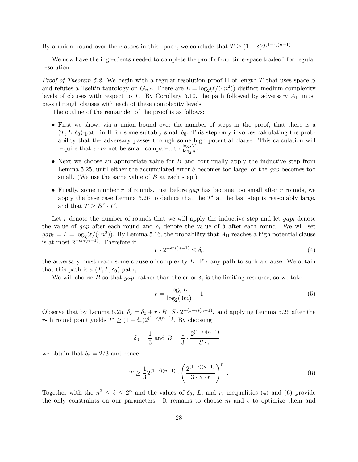By a union bound over the clauses in this epoch, we conclude that  $T \geq (1 - \delta)2^{(1 - \epsilon)(n-1)}$ .  $\Box$ 

We now have the ingredients needed to complete the proof of our time-space tradeoff for regular resolution.

Proof of Theorem 5.2. We begin with a regular resolution proof  $\Pi$  of length T that uses space S and refutes a Tseitin tautology on  $G_{n,\ell}$ . There are  $L = \log_2(\ell/(4n^2))$  distinct medium complexity levels of clauses with respect to T. By Corollary 5.10, the path followed by adversary  $A_{\Pi}$  must pass through clauses with each of these complexity levels.

The outline of the remainder of the proof is as follows:

- First we show, via a union bound over the number of steps in the proof, that there is a  $(T, L, \delta_0)$ -path in  $\Pi$  for some suitably small  $\delta_0$ . This step only involves calculating the probability that the adversary passes through some high potential clause. This calculation will require that  $\epsilon \cdot m$  not be small compared to  $\frac{\log_2 T}{\log_2 n}$ .
- Next we choose an appropriate value for  $B$  and continually apply the inductive step from Lemma 5.25, until either the accumulated error  $\delta$  becomes too large, or the *gap* becomes too small. (We use the same value of  $B$  at each step.)
- Finally, some number r of rounds, just before *qap* has become too small after r rounds, we apply the base case Lemma 5.26 to deduce that the  $T'$  at the last step is reasonably large, and that  $T \geq B^r \cdot T'$ .

Let r denote the number of rounds that we will apply the inductive step and let  $qap_i$  denote the value of gap after each round and  $\delta_i$  denote the value of  $\delta$  after each round. We will set  $gap_0 = L = \log_2(\ell/(4n^2))$ . By Lemma 5.16, the probability that  $A_{\Pi}$  reaches a high potential clause is at most  $2^{-\epsilon m(n-1)}$ . Therefore if

$$
T \cdot 2^{-\epsilon m(n-1)} \le \delta_0 \tag{4}
$$

the adversary must reach some clause of complexity  $L$ . Fix any path to such a clause. We obtain that this path is a  $(T, L, \delta_0)$ -path,

We will choose B so that gap, rather than the error  $\delta$ , is the limiting resource, so we take

$$
r = \frac{\log_2 L}{\log_2 (3m)} - 1\tag{5}
$$

Observe that by Lemma 5.25,  $\delta_r = \delta_0 + r \cdot B \cdot S \cdot 2^{-(1-\epsilon)(n-1)}$ . and applying Lemma 5.26 after the r-th round point yields  $T' \ge (1 - \delta_r)2^{(1-\epsilon)(n-1)}$ . By choosing

$$
\delta_0 = \frac{1}{3}
$$
 and  $B = \frac{1}{3} \cdot \frac{2^{(1-\epsilon)(n-1)}}{S \cdot r}$ ,

we obtain that  $\delta_r = 2/3$  and hence

$$
T \ge \frac{1}{3} 2^{(1-\epsilon)(n-1)} \cdot \left(\frac{2^{(1-\epsilon)(n-1)}}{3 \cdot S \cdot r}\right)^r \tag{6}
$$

Together with the  $n^3 \leq \ell \leq 2^n$  and the values of  $\delta_0$ , L, and r, inequalities (4) and (6) provide the only constraints on our parameters. It remains to choose m and  $\epsilon$  to optimize them and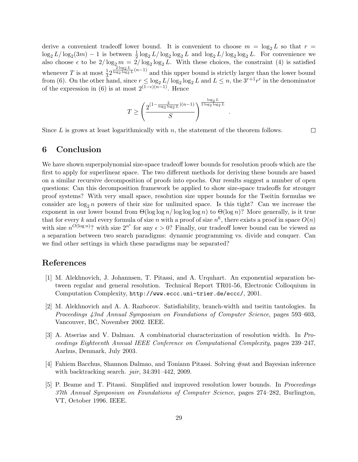derive a convenient tradeoff lower bound. It is convenient to choose  $m = \log_2 L$  so that  $r =$  $\log_2 L/\log_2 (3m) - 1$  is between  $\frac{1}{2} \log_2 L/\log_2 \log_2 L$  and  $\log_2 L/\log_2 \log_2 L$ . For convenience we  $\log_2 L / \log_2 (3m) - 1$  is between  $\frac{1}{2} \log_2 L / \log_2 \log_2 L$  and  $\log_2 L / \log_2 \log_2 L$ . For convenience we also choose  $\epsilon$  to be  $2/\log_2 m = 2/\log_2 \log_2 L$ . With these choices, the constraint (4) is satisfied whenever T is at most  $\frac{1}{3} 2^{\frac{2 \log_2 L}{\log_2 \log_2 L}(n-1)}$  and this upper bound is strictly larger than the lower bound from (6). On the other hand, since  $r \leq \log_2 L / \log_2 \log_2 L$  and  $L \leq n$ , the  $3^{r+1}r^r$  in the denominator of the expression in (6) is at most  $2^{(1-\epsilon)(n-1)}$ . Hence

$$
T \ge \left(\frac{2^{\left(1 - \frac{2}{\log_2 \log_2 L}\right)(n-1)}}{S}\right)^{\frac{\log_2 L}{2 \log_2 \log_2 L}}
$$

.

Since  $L$  is grows at least logarithmically with  $n$ , the statement of the theorem follows.

 $\Box$ 

## 6 Conclusion

We have shown superpolynomial size-space tradeoff lower bounds for resolution proofs which are the first to apply for superlinear space. The two different methods for deriving these bounds are based on a similar recursive decomposition of proofs into epochs. Our results suggest a number of open questions: Can this decomposition framework be applied to show size-space tradeoffs for stronger proof systems? With very small space, resolution size upper bounds for the Tseitin formulas we consider are  $log_2 n$  powers of their size for unlimited space. Is this tight? Can we increase the exponent in our lower bound from  $\Theta(\log \log n / \log \log \log n)$  to  $\Theta(\log n)$ ? More generally, is it true that for every k and every formula of size n with a proof of size  $n^k$ , there exists a proof in space  $O(n)$ with size  $n^{O(\log n)}$ ? with size  $2^{n^{\epsilon}}$  for any  $\epsilon > 0$ ? Finally, our tradeoff lower bound can be viewed as a separation between two search paradigms: dynamic programming vs. divide and conquer. Can we find other settings in which these paradigms may be separated?

# References

- [1] M. Alekhnovich, J. Johannsen, T. Pitassi, and A. Urquhart. An exponential separation between regular and general resolution. Technical Report TR01-56, Electronic Colloquium in Computation Complexity, http://www.eccc.uni-trier.de/eccc/, 2001.
- [2] M. Alekhnovich and A. A. Razborov. Satisfiability, branch-width and tseitin tautologies. In Proceedings 43nd Annual Symposium on Foundations of Computer Science, pages 593–603, Vancouver, BC, November 2002. IEEE.
- [3] A. Atserias and V. Dalmau. A combinatorial characterization of resolution width. In Proceedings Eighteenth Annual IEEE Conference on Computational Complexity, pages 239–247, Aarhus, Denmark, July 2003.
- [4] Fahiem Bacchus, Shannon Dalmao, and Toniann Pitassi. Solving #sat and Bayesian inference with backtracking search. jair, 34:391–442, 2009.
- [5] P. Beame and T. Pitassi. Simplified and improved resolution lower bounds. In Proceedings 37th Annual Symposium on Foundations of Computer Science, pages 274–282, Burlington, VT, October 1996. IEEE.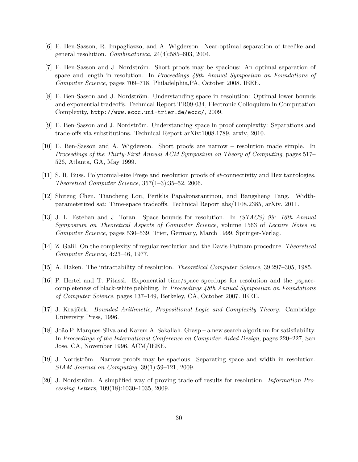- [6] E. Ben-Sasson, R. Impagliazzo, and A. Wigderson. Near-optimal separation of treelike and general resolution. Combinatorica, 24(4):585–603, 2004.
- [7] E. Ben-Sasson and J. Nordström. Short proofs may be spacious: An optimal separation of space and length in resolution. In Proceedings 49th Annual Symposium on Foundations of Computer Science, pages 709–718, Philadelphia,PA, October 2008. IEEE.
- [8] E. Ben-Sasson and J. Nordström. Understanding space in resolution: Optimal lower bounds and exponential tradeoffs. Technical Report TR09-034, Electronic Colloquium in Computation Complexity, http://www.eccc.uni-trier.de/eccc/, 2009.
- [9] E. Ben-Sasson and J. Nordström. Understanding space in proof complexity: Separations and trade-offs via substitutions. Technical Report arXiv:1008.1789, arxiv, 2010.
- [10] E. Ben-Sasson and A. Wigderson. Short proofs are narrow resolution made simple. In Proceedings of the Thirty-First Annual ACM Symposium on Theory of Computing, pages 517– 526, Atlanta, GA, May 1999.
- [11] S. R. Buss. Polynomial-size Frege and resolution proofs of st-connectivity and Hex tautologies. Theoretical Computer Science, 357(1–3):35–52, 2006.
- [12] Shiteng Chen, Tiancheng Lou, Periklis Papakonstantinou, and Bangsheng Tang. Widthparameterized sat: Time-space tradeoffs. Technical Report abs/1108.2385, arXiv, 2011.
- [13] J. L. Esteban and J. Toran. Space bounds for resolution. In (STACS) 99: 16th Annual Symposium on Theoretical Aspects of Computer Science, volume 1563 of Lecture Notes in Computer Science, pages 530–539, Trier, Germany, March 1999. Springer-Verlag.
- [14] Z. Galil. On the complexity of regular resolution and the Davis-Putnam procedure. Theoretical Computer Science, 4:23–46, 1977.
- [15] A. Haken. The intractability of resolution. Theoretical Computer Science, 39:297–305, 1985.
- [16] P. Hertel and T. Pitassi. Exponential time/space speedups for resolution and the pspacecompleteness of black-white pebbling. In Proceedings 48th Annual Symposium on Foundations of Computer Science, pages 137–149, Berkeley, CA, October 2007. IEEE.
- [17] J. Krajíček. *Bounded Arithmetic, Propositional Logic and Complexity Theory.* Cambridge University Press, 1996.
- [18] Jo˜ao P. Marques-Silva and Karem A. Sakallah. Grasp a new search algorithm for satisfiability. In Proceedings of the International Conference on Computer-Aided Design, pages 220–227, San Jose, CA, November 1996. ACM/IEEE.
- [19] J. Nordström. Narrow proofs may be spacious: Separating space and width in resolution. SIAM Journal on Computing, 39(1):59–121, 2009.
- [20] J. Nordström. A simplified way of proving trade-off results for resolution. *Information Pro*cessing Letters, 109(18):1030–1035, 2009.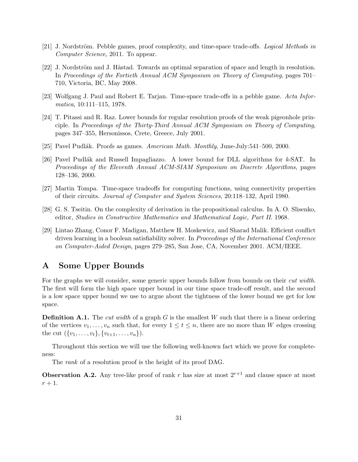- [21] J. Nordström. Pebble games, proof complexity, and time-space trade-offs. Logical Methods in Computer Science, 2011. To appear.
- [22] J. Nordström and J. Håstad. Towards an optimal separation of space and length in resolution. In Proceedings of the Fortieth Annual ACM Symposium on Theory of Computing, pages 701– 710, Victoria, BC, May 2008.
- [23] Wolfgang J. Paul and Robert E. Tarjan. Time-space trade-offs in a pebble game. Acta Informatica, 10:111–115, 1978.
- [24] T. Pitassi and R. Raz. Lower bounds for regular resolution proofs of the weak pigeonhole principle. In Proceedings of the Thirty-Third Annual ACM Symposium on Theory of Computing, pages 347–355, Hersonissos, Crete, Greece, July 2001.
- [25] Pavel Pudlák. Proofs as games. American Math. Monthly, June-July:541–500, 2000.
- [26] Pavel Pudlák and Russell Impagliazzo. A lower bound for DLL algorithms for  $k$ -SAT. In Proceedings of the Eleventh Annual ACM-SIAM Symposium on Discrete Algorithms, pages 128–136, 2000.
- [27] Martin Tompa. Time-space tradeoffs for computing functions, using connectivity properties of their circuits. Journal of Computer and System Sciences, 20:118–132, April 1980.
- [28] G. S. Tseitin. On the complexity of derivation in the propositional calculus. In A. O. Slisenko, editor, Studies in Constructive Mathematics and Mathematical Logic, Part II. 1968.
- [29] Lintao Zhang, Conor F. Madigan, Matthew H. Moskewicz, and Sharad Malik. Efficient conflict driven learning in a boolean satisfiability solver. In *Proceedings of the International Conference* on Computer-Aided Design, pages 279–285, San Jose, CA, November 2001. ACM/IEEE.

# A Some Upper Bounds

For the graphs we will consider, some generic upper bounds follow from bounds on their *cut width*. The first will form the high space upper bound in our time space trade-off result, and the second is a low space upper bound we use to argue about the tightness of the lower bound we get for low space.

**Definition A.1.** The *cut width* of a graph  $G$  is the smallest  $W$  such that there is a linear ordering of the vertices  $v_1, \ldots, v_n$  such that, for every  $1 \le t \le n$ , there are no more than W edges crossing the cut  $({v_1, \ldots, v_t}, {v_{t+1}, \ldots, v_n}).$ 

Throughout this section we will use the following well-known fact which we prove for completeness:

The *rank* of a resolution proof is the height of its proof DAG.

**Observation A.2.** Any tree-like proof of rank r has size at most  $2^{r+1}$  and clause space at most  $r+1$ .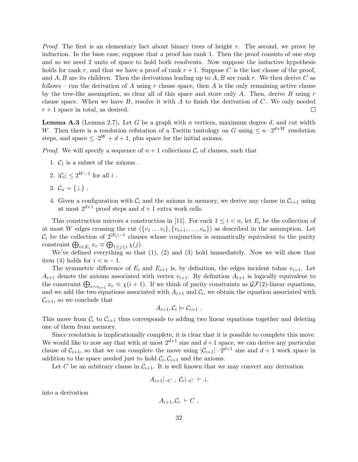Proof. The first is an elementary fact about binary trees of height r. The second, we prove by induction. In the base case, suppose that a proof has rank 1. Then the proof consists of one step and so we need 2 units of space to hold both resolvents. Now suppose the inductive hypothesis holds for rank r, and that we have a proof of rank  $r + 1$ . Suppose C is the last clause of the proof, and A, B are its children. Then the derivations leading up to A, B are rank r. We then derive C as follows – run the derivation of A using r clause space, then A is the only remaining active clause by the tree-like assumption, so clear all of this space and store only A. Then, derive B using  $r$ clause space. When we have  $B$ , resolve it with  $A$  to finish the derivation of  $C$ . We only needed  $r + 1$  space in total, as desired.  $\Box$ 

**Lemma A.3** (Lemma 2.7). Let G be a graph with n vertices, maximum degree  $d$ , and cut width W. Then there is a resolution refutation of a Tseitin tautology on G using  $\leq n \cdot 2^{d+W}$  resolution steps, and space  $\leq 2^W + d + 1$ , plus space for the initial axioms.

*Proof.* We will specify a sequence of  $n + 1$  collections  $C_i$  of clauses, such that

- 1.  $C_1$  is a subset of the axioms.
- 2.  $|\mathcal{C}_i| \leq 2^{W-1}$  for all i.
- 3.  $\mathcal{C}_n = \{\perp\}$ .
- 4. Given a configuration with  $\mathcal{C}_i$  and the axioms in memory, we derive any clause in  $\mathcal{C}_{i+1}$  using at most  $2^{d+1}$  proof steps and  $d+1$  extra work cells.

This construction mirrors a construction in [11]. For each  $1 \leq i \leq n$ , let  $E_i$  be the collection of at most W edges crossing the cut  $({v_1 \dots v_i}, {v_{i+1}, \dots, v_n})$  as described in the assumption. Let  $\mathcal{C}_i$  be the collection of  $2^{|E_i|-1}$  clauses whose conjunction is semantically equivalent to the parity constraint  $\bigoplus_{e \in E_i} x_e \equiv \bigoplus_{1 \leq j \leq i} \chi(j)$ .

We've defined everything so that (1), (2) and (3) hold immediately. Now we will show that item (4) holds for  $i < n-1$ .

The symmetric difference of  $E_i$  and  $E_{i+1}$  is, by definition, the edges incident tohas  $v_{i+1}$ . Let  $A_{i+1}$  denote the axioms associated with vertex  $v_{i+1}$ . By definition  $A_{i+1}$  is logically equivalent to the constraint  $\bigoplus_{e \sim v_{i+1}} x_e \equiv \chi(i+1)$ . If we think of parity constraints as  $\mathcal{GF}(2)$ -linear equations, and we add the two equations associated with  $A_{i+1}$  and  $C_i$ , we obtain the equation associated with  $\mathcal{C}_{i+1}$ , so we conclude that

$$
A_{i+1}, C_i \models C_{i+1} .
$$

This move from  $\mathcal{C}_i$  to  $\mathcal{C}_{i+1}$  thus corresponds to adding two linear equations together and deleting one of them from memory.

Since resolution is implicationally complete, it is clear that it is possible to complete this move. We would like to now say that with at most  $2^{d+1}$  size and  $d+1$  space, we can derive any particular clause of  $C_{i+1}$ , so that we can complete the move using  $|C_{i+1}| \cdot 2^{d+1}$  size and  $d+1$  work space in addition to the space needed just to hold  $\mathcal{C}_i, \mathcal{C}_{i+1}$  and the axioms.

Let C be an arbitrary clause in  $C_{i+1}$ . It is well known that we may convert any derivation

$$
A_{i+1}|_{\neg C}, \mathcal{C}_i|_{\neg C} \vdash \bot
$$

into a derivation

$$
A_{i+1}, C_i \vdash C ,
$$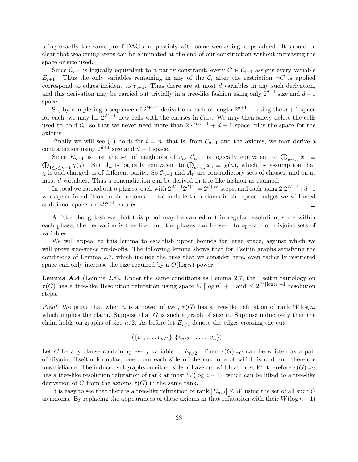using exactly the same proof DAG and possibly with some weakening steps added. It should be clear that weakening steps can be eliminated at the end of our construction without increasing the space or size used.

Since  $C_{i+1}$  is logically equivalent to a parity constraint, every  $C \in C_{i+1}$  assigns every variable  $E_{i+1}$ . Thus the only variables remaining in any of the  $\mathcal{C}_i$  after the restriction  $\neg C$  is applied correspond to edges incident to  $v_{i+1}$ . Thus there are at most d variables in any such derivation, and this derivation may be carried out trivially in a tree-like fashion using only  $2^{d+1}$  size and  $d+1$ space.

So, by completing a sequence of  $2^{W-1}$  derivations each of length  $2^{d+1}$ , reusing the  $d+1$  space for each, we may fill  $2^{W-1}$  new cells with the clauses in  $\mathcal{C}_{i+1}$ . We may then safely delete the cells used to hold  $\mathcal{C}_i$ , so that we never need more than  $2 \cdot 2^{W-1} + d + 1$  space, plus the space for the axioms.

Finally we will see (4) holds for  $i = n$ , that is, from  $\mathcal{C}_{n-1}$  and the axioms, we may derive a contradiction using  $2^{d+1}$  size and  $d+1$  space.

Since  $E_{n-1}$  is just the set of neighbors of  $v_n$ ,  $\mathcal{C}_{n-1}$  is logically equivalent to  $\bigoplus_{e \sim v_n} x_e \equiv$ Since  $E_{n-1}$  is just the set of heighbors of  $v_n$ ,  $C_{n-1}$  is logically equivalent to  $\bigoplus_{e \sim v_n} x_e =$ <br> $\bigoplus_{1 \leq j \leq n-1} \chi(j)$ . But  $A_n$  is logically equivalent to  $\bigoplus_{e \sim v_n} x_e \equiv \chi(n)$ , which by assumption that  $\chi$  is odd-charged, is of different parity. So  $\mathcal{C}_{n-1}$  and  $A_n$  are contradictory sets of clauses, and on at most d variables. Thus a contradiction can be derived in tree-like fashion as claimed.

In total we carried out n phases, each with  $2^{W-1}2^{d+1} = 2^{d+W}$  steps, and each using  $2 \cdot 2^{W-1} + d + 1$ workspace in addition to the axioms. If we include the axioms in the space budget we will need additional space for  $n2^{d-1}$  clauses.  $\Box$ 

A little thought shows that this proof may be carried out in regular resolution, since within each phase, the derivation is tree-like, and the phases can be seen to operate on disjoint sets of variables.

We will appeal to this lemma to establish upper bounds for large space, against which we will prove size-space trade-offs. The following lemma shows that for Tseitin graphs satisfying the conditions of Lemma 2.7, which include the ones that we consider here, even radically restricted space can only increase the size required by a  $O(\log n)$  power.

Lemma A.4 (Lemma 2.8). Under the same conditions as Lemma 2.7, the Tseitin tautology on  $\tau(G)$  has a tree-like Resolution refutation using space  $W\lceil \log n \rceil + 1$  and  $\lt 2^{W\lceil \log n \rceil + 1}$  resolution steps.

*Proof.* We prove that when n is a power of two,  $\tau(G)$  has a tree-like refutation of rank W log n, which implies the claim. Suppose that  $G$  is such a graph of size  $n$ . Suppose inductively that the claim holds on graphs of size  $n/2$ . As before let  $E_{n/2}$  denote the edges crossing the cut

$$
(\{v_1,\ldots,v_{n/2}\},\{v_{n/2+1},\ldots,v_n\})\ .
$$

Let C be any clause containing every variable in  $E_{n/2}$ . Then  $\tau(G)|_{\neg C}$  can be written as a pair of disjoint Tseitin formulae, one from each side of the cut, one of which is odd and therefore unsatisfiable. The induced subgraphs on either side of have cut width at most W, therefore  $\tau(G)|_{\neg C}$ has a tree-like resolution refutation of rank at most  $W(\log n - 1)$ , which can be lifted to a tree-like derivation of C from the axioms  $\tau(G)$  in the same rank.

It is easy to see that there is a tree-like refutation of rank  $|E_{n/2}| \leq W$  using the set of all such C as axioms. By replacing the appearances of these axioms in that refutation with their  $W(\log n-1)$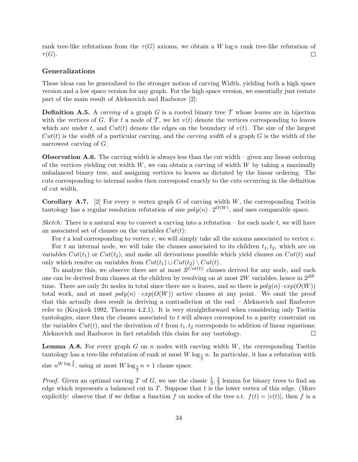rank tree-like refutations from the  $\tau(G)$  axioms, we obtain a W log n rank tree-like refutation of  $\tau(G).$  $\Box$ 

#### Generalizations

These ideas can be generalized to the stronger notion of carving Width, yielding both a high space version and a low space version for any graph. For the high space version, we essentially just restate part of the main result of Aleknovich and Razborov [2]:

**Definition A.5.** A carving of a graph G is a rooted binary tree  $\mathcal{T}$  whose leaves are in bijection with the vertices of G. For t a node of  $\mathcal{T}$ , we let  $v(t)$  denote the vertices corresponding to leaves which are under t, and  $Cut(t)$  denote the edges on the boundary of  $v(t)$ . The size of the largest  $Cut(t)$  is the width of a particular carving, and the *carving width* of a graph G is the width of the narrowest carving of G.

**Observation A.6.** The carving width is always less than the cut width  $-$  given any linear ordering of the vertices yielding cut width  $W$ , we can obtain a carving of width  $W$  by taking a maximally unbalanced binary tree, and assigning vertices to leaves as dictated by the linear ordering. The cuts corresponding to internal nodes then correspond exactly to the cuts occurring in the definition of cut width.

**Corollary A.7.** [2] For every n vertex graph G of carving width  $W$ , the corresponding Tseitin tautology has a regular resolution refutation of size  $poly(n) \cdot 2^{O(W)}$ , and uses comparable space.

Sketch: There is a natural way to convert a carving into a refutation – for each node t, we will have an associated set of clauses on the variables  $Cut(t)$ :

For t a leaf corresponding to vertex v, we will simply take all the axioms associated to vertex v. For t an internal node, we will take the clauses associated to its children  $t_1, t_2$ , which are on variables  $Cut(t_1)$  or  $Cut(t_2)$ , and make all derivations possible which yield clauses on  $Cut(t)$  and only which resolve on variables from  $Cut(t_1) \cup Cut(t_2) \setminus Cut(t)$ .

To analyze this, we observe there are at most  $3^{|Cut(t)|}$  clauses derived for any node, and each one can be derived from clauses at the children by resolving on at most 2W variables, hence in  $2^{2W}$ time. There are only 2n nodes in total since there are n leaves, and so there is  $poly(n) \cdot exp(O(W))$ total work, and at most  $poly(n) \cdot exp(O(W))$  active clauses at any point. We omit the proof that this actually does result in deriving a contradiction at the end – Aleknovich and Razborov refer to (Krajicek 1992, Theorem 4.2.1). It is very straightforward when considering only Tseitin tautologies, since then the clauses associated to t will always correspond to a parity constraint on the variables  $Cut(t)$ , and the derivation of t from  $t_1, t_2$  corresponds to addition of linear equations; Aleknovich and Razborov in fact establish this claim for any tautology.  $\Box$ 

**Lemma A.8.** For every graph  $G$  on  $n$  nodes with carving width  $W$ , the corresponding Tseitin tautology has a tree-like refutation of rank at most  $W \log_{\frac{3}{2}} n$ . In particular, it has a refutation with size  $n^{W \log \frac{3}{2}}$ , using at most  $W \log_{\frac{3}{2}} n + 1$  clause space.

*Proof.* Given an optimal carving T of G, we use the classic  $\frac{1}{3}$ ,  $\frac{2}{3}$  $\frac{2}{3}$  lemma for binary trees to find an edge which represents a balanced cut in  $T$ . Suppose that  $t$  is the lower vertex of this edge. (More explicitly: observe that if we define a function f on nodes of the tree s.t.  $f(t) = |v(t)|$ , then f is a